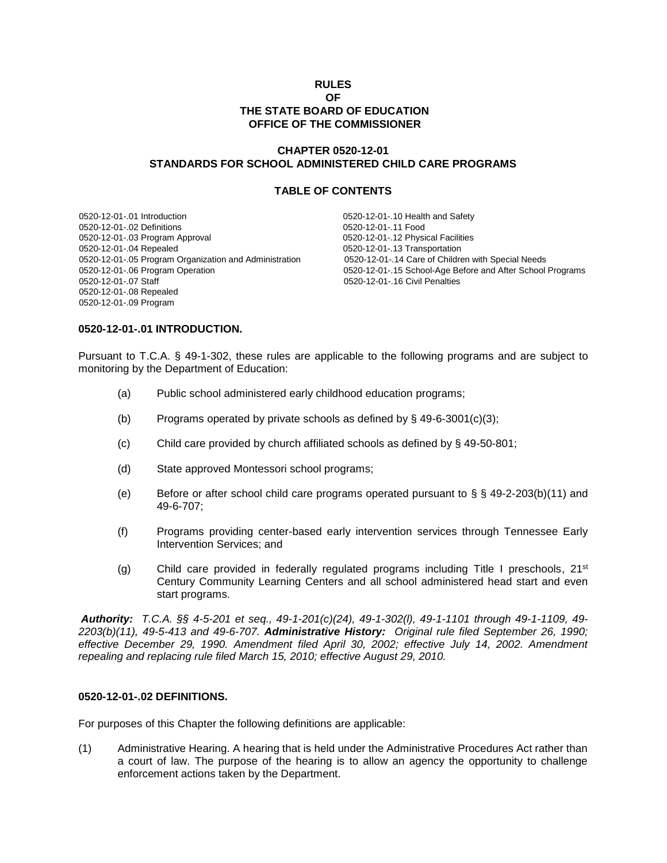#### **RULES OF THE STATE BOARD OF EDUCATION OFFICE OF THE COMMISSIONER**

## **CHAPTER 0520-12-01 STANDARDS FOR SCHOOL ADMINISTERED CHILD CARE PROGRAMS**

#### **TABLE OF CONTENTS**

0520-12-01-.01 Introduction 0520-12-01-.10 Health and Safety 0520-12-01-.02 Definitions 0520-12-01-.11 Food 0520-12-01-.03 Program Approval 0520-12-01-.12 Physical Facilities 0520-12-01-.04 Repealed 0520-12-01-.13 Transportation<br>0520-12-01-.05 Program Organization and Administration 0520-12-01-.14 Care of Children with Special Needs 0520-12-01-.05 Program Organization and Administration 0520-12-01-.07 Staff 0520-12-01-.16 Civil Penalties 0520-12-01-.08 Repealed 0520-12-01-.09 Program

0520-12-01-.06 Program Operation 0520-12-01-.15 School-Age Before and After School Programs

#### **0520-12-01-.01 INTRODUCTION.**

Pursuant to T.C.A. § 49-1-302, these rules are applicable to the following programs and are subject to monitoring by the Department of Education:

- (a) Public school administered early childhood education programs;
- (b) Programs operated by private schools as defined by  $\S$  49-6-3001(c)(3);
- (c) Child care provided by church affiliated schools as defined by § 49-50-801;
- (d) State approved Montessori school programs;
- (e) Before or after school child care programs operated pursuant to  $\S$   $\S$   $\S$  49-2-203(b)(11) and 49-6-707;
- (f) Programs providing center-based early intervention services through Tennessee Early Intervention Services; and
- (g) Child care provided in federally regulated programs including Title I preschools,  $21<sup>st</sup>$ Century Community Learning Centers and all school administered head start and even start programs.

*Authority: T.C.A. §§ 4-5-201 et seq., 49-1-201(c)(24), 49-1-302(l), 49-1-1101 through 49-1-1109, 49- 2203(b)(11), 49-5-413 and 49-6-707. Administrative History: Original rule filed September 26, 1990; effective December 29, 1990. Amendment filed April 30, 2002; effective July 14, 2002. Amendment repealing and replacing rule filed March 15, 2010; effective August 29, 2010.* 

#### **0520-12-01-.02 DEFINITIONS.**

For purposes of this Chapter the following definitions are applicable:

(1) Administrative Hearing. A hearing that is held under the Administrative Procedures Act rather than a court of law. The purpose of the hearing is to allow an agency the opportunity to challenge enforcement actions taken by the Department.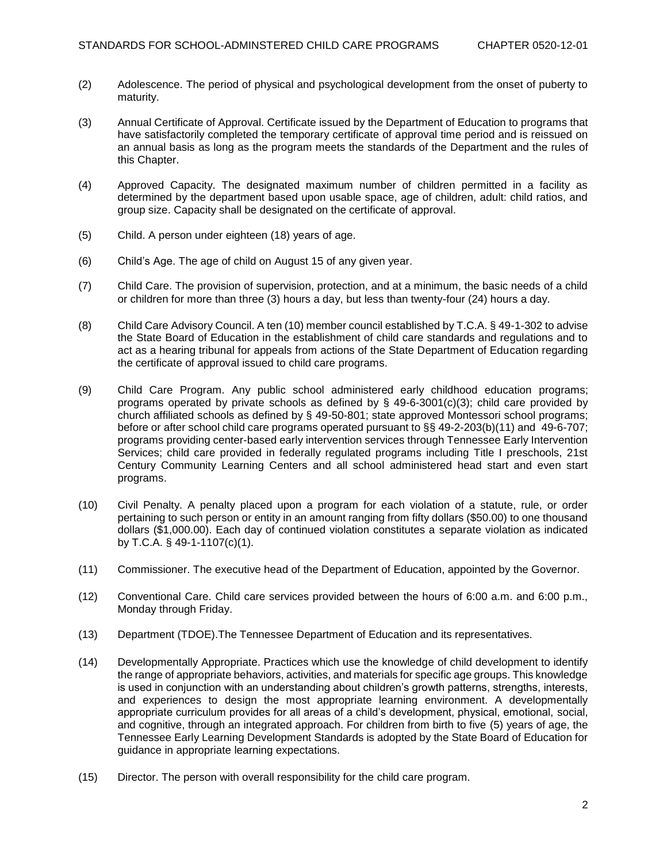- (2) Adolescence. The period of physical and psychological development from the onset of puberty to maturity.
- (3) Annual Certificate of Approval. Certificate issued by the Department of Education to programs that have satisfactorily completed the temporary certificate of approval time period and is reissued on an annual basis as long as the program meets the standards of the Department and the rules of this Chapter.
- (4) Approved Capacity. The designated maximum number of children permitted in a facility as determined by the department based upon usable space, age of children, adult: child ratios, and group size. Capacity shall be designated on the certificate of approval.
- (5) Child. A person under eighteen (18) years of age.
- (6) Child's Age. The age of child on August 15 of any given year.
- (7) Child Care. The provision of supervision, protection, and at a minimum, the basic needs of a child or children for more than three (3) hours a day, but less than twenty-four (24) hours a day.
- (8) Child Care Advisory Council. A ten (10) member council established by T.C.A. § 49-1-302 to advise the State Board of Education in the establishment of child care standards and regulations and to act as a hearing tribunal for appeals from actions of the State Department of Education regarding the certificate of approval issued to child care programs.
- (9) Child Care Program. Any public school administered early childhood education programs; programs operated by private schools as defined by  $\frac{6}{3}$  49-6-3001(c)(3); child care provided by church affiliated schools as defined by § 49-50-801; state approved Montessori school programs; before or after school child care programs operated pursuant to §§ 49-2-203(b)(11) and 49-6-707; programs providing center-based early intervention services through Tennessee Early Intervention Services; child care provided in federally regulated programs including Title I preschools, 21st Century Community Learning Centers and all school administered head start and even start programs.
- (10) Civil Penalty. A penalty placed upon a program for each violation of a statute, rule, or order pertaining to such person or entity in an amount ranging from fifty dollars (\$50.00) to one thousand dollars (\$1,000.00). Each day of continued violation constitutes a separate violation as indicated by T.C.A. § 49-1-1107(c)(1).
- (11) Commissioner. The executive head of the Department of Education, appointed by the Governor.
- (12) Conventional Care. Child care services provided between the hours of 6:00 a.m. and 6:00 p.m., Monday through Friday.
- (13) Department (TDOE).The Tennessee Department of Education and its representatives.
- (14) Developmentally Appropriate. Practices which use the knowledge of child development to identify the range of appropriate behaviors, activities, and materials for specific age groups. This knowledge is used in conjunction with an understanding about children's growth patterns, strengths, interests, and experiences to design the most appropriate learning environment. A developmentally appropriate curriculum provides for all areas of a child's development, physical, emotional, social, and cognitive, through an integrated approach. For children from birth to five (5) years of age, the Tennessee Early Learning Development Standards is adopted by the State Board of Education for guidance in appropriate learning expectations.
- (15) Director. The person with overall responsibility for the child care program.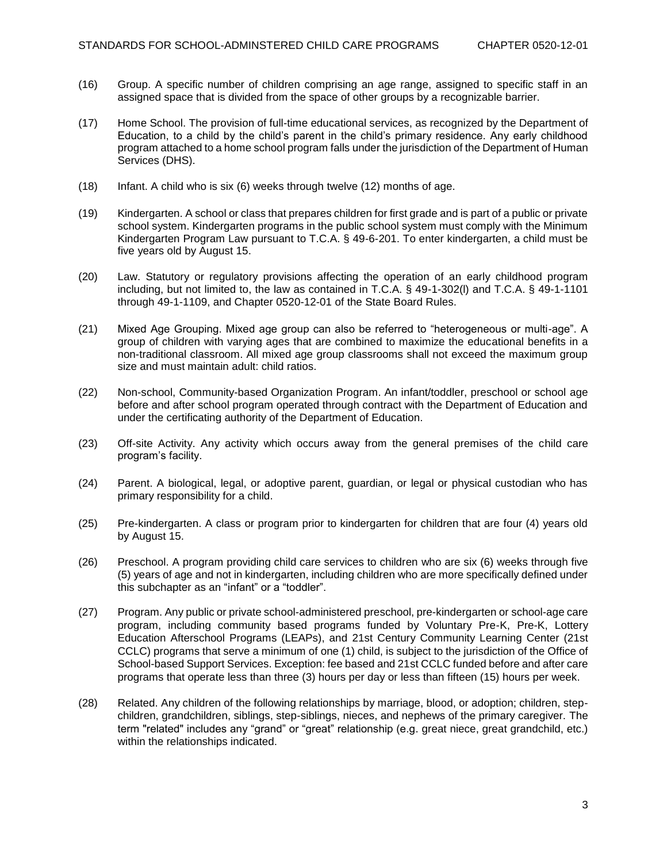- (16) Group. A specific number of children comprising an age range, assigned to specific staff in an assigned space that is divided from the space of other groups by a recognizable barrier.
- (17) Home School. The provision of full-time educational services, as recognized by the Department of Education, to a child by the child's parent in the child's primary residence. Any early childhood program attached to a home school program falls under the jurisdiction of the Department of Human Services (DHS).
- (18) Infant. A child who is six (6) weeks through twelve (12) months of age.
- (19) Kindergarten. A school or class that prepares children for first grade and is part of a public or private school system. Kindergarten programs in the public school system must comply with the Minimum Kindergarten Program Law pursuant to T.C.A. § 49-6-201. To enter kindergarten, a child must be five years old by August 15.
- (20) Law. Statutory or regulatory provisions affecting the operation of an early childhood program including, but not limited to, the law as contained in T.C.A. § 49-1-302(l) and T.C.A. § 49-1-1101 through 49-1-1109, and Chapter 0520-12-01 of the State Board Rules.
- (21) Mixed Age Grouping. Mixed age group can also be referred to "heterogeneous or multi-age". A group of children with varying ages that are combined to maximize the educational benefits in a non-traditional classroom. All mixed age group classrooms shall not exceed the maximum group size and must maintain adult: child ratios.
- (22) Non-school, Community-based Organization Program. An infant/toddler, preschool or school age before and after school program operated through contract with the Department of Education and under the certificating authority of the Department of Education.
- (23) Off-site Activity. Any activity which occurs away from the general premises of the child care program's facility.
- (24) Parent. A biological, legal, or adoptive parent, guardian, or legal or physical custodian who has primary responsibility for a child.
- (25) Pre-kindergarten. A class or program prior to kindergarten for children that are four (4) years old by August 15.
- (26) Preschool. A program providing child care services to children who are six (6) weeks through five (5) years of age and not in kindergarten, including children who are more specifically defined under this subchapter as an "infant" or a "toddler".
- (27) Program. Any public or private school-administered preschool, pre-kindergarten or school-age care program, including community based programs funded by Voluntary Pre-K, Pre-K, Lottery Education Afterschool Programs (LEAPs), and 21st Century Community Learning Center (21st CCLC) programs that serve a minimum of one (1) child, is subject to the jurisdiction of the Office of School-based Support Services. Exception: fee based and 21st CCLC funded before and after care programs that operate less than three (3) hours per day or less than fifteen (15) hours per week.
- (28) Related. Any children of the following relationships by marriage, blood, or adoption; children, stepchildren, grandchildren, siblings, step-siblings, nieces, and nephews of the primary caregiver. The term "related" includes any "grand" or "great" relationship (e.g. great niece, great grandchild, etc.) within the relationships indicated.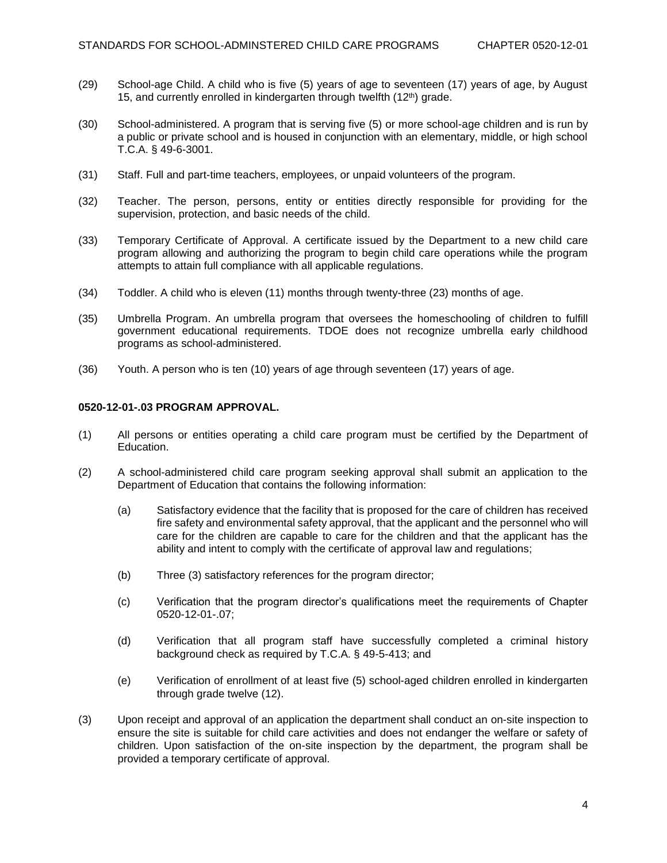- (29) School-age Child. A child who is five (5) years of age to seventeen (17) years of age, by August 15, and currently enrolled in kindergarten through twelfth  $(12<sup>th</sup>)$  grade.
- (30) School-administered. A program that is serving five (5) or more school-age children and is run by a public or private school and is housed in conjunction with an elementary, middle, or high school T.C.A. § 49-6-3001.
- (31) Staff. Full and part-time teachers, employees, or unpaid volunteers of the program.
- (32) Teacher. The person, persons, entity or entities directly responsible for providing for the supervision, protection, and basic needs of the child.
- (33) Temporary Certificate of Approval. A certificate issued by the Department to a new child care program allowing and authorizing the program to begin child care operations while the program attempts to attain full compliance with all applicable regulations.
- (34) Toddler. A child who is eleven (11) months through twenty-three (23) months of age.
- (35) Umbrella Program. An umbrella program that oversees the homeschooling of children to fulfill government educational requirements. TDOE does not recognize umbrella early childhood programs as school-administered.
- (36) Youth. A person who is ten (10) years of age through seventeen (17) years of age.

## **0520-12-01-.03 PROGRAM APPROVAL.**

- (1) All persons or entities operating a child care program must be certified by the Department of Education.
- (2) A school-administered child care program seeking approval shall submit an application to the Department of Education that contains the following information:
	- (a) Satisfactory evidence that the facility that is proposed for the care of children has received fire safety and environmental safety approval, that the applicant and the personnel who will care for the children are capable to care for the children and that the applicant has the ability and intent to comply with the certificate of approval law and regulations;
	- (b) Three (3) satisfactory references for the program director;
	- (c) Verification that the program director's qualifications meet the requirements of Chapter 0520-12-01-.07;
	- (d) Verification that all program staff have successfully completed a criminal history background check as required by T.C.A. § 49-5-413; and
	- (e) Verification of enrollment of at least five (5) school-aged children enrolled in kindergarten through grade twelve (12).
- (3) Upon receipt and approval of an application the department shall conduct an on-site inspection to ensure the site is suitable for child care activities and does not endanger the welfare or safety of children. Upon satisfaction of the on-site inspection by the department, the program shall be provided a temporary certificate of approval.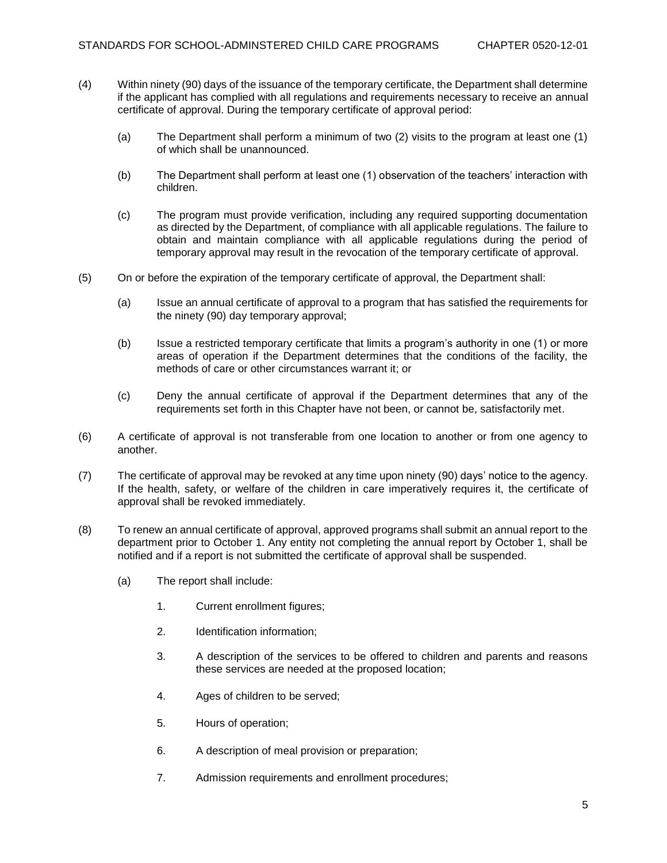- (4) Within ninety (90) days of the issuance of the temporary certificate, the Department shall determine if the applicant has complied with all regulations and requirements necessary to receive an annual certificate of approval. During the temporary certificate of approval period:
	- (a) The Department shall perform a minimum of two (2) visits to the program at least one (1) of which shall be unannounced.
	- (b) The Department shall perform at least one (1) observation of the teachers' interaction with children.
	- (c) The program must provide verification, including any required supporting documentation as directed by the Department, of compliance with all applicable regulations. The failure to obtain and maintain compliance with all applicable regulations during the period of temporary approval may result in the revocation of the temporary certificate of approval.
- (5) On or before the expiration of the temporary certificate of approval, the Department shall:
	- (a) Issue an annual certificate of approval to a program that has satisfied the requirements for the ninety (90) day temporary approval;
	- (b) Issue a restricted temporary certificate that limits a program's authority in one (1) or more areas of operation if the Department determines that the conditions of the facility, the methods of care or other circumstances warrant it; or
	- (c) Deny the annual certificate of approval if the Department determines that any of the requirements set forth in this Chapter have not been, or cannot be, satisfactorily met.
- (6) A certificate of approval is not transferable from one location to another or from one agency to another.
- (7) The certificate of approval may be revoked at any time upon ninety (90) days' notice to the agency. If the health, safety, or welfare of the children in care imperatively requires it, the certificate of approval shall be revoked immediately.
- (8) To renew an annual certificate of approval, approved programs shall submit an annual report to the department prior to October 1. Any entity not completing the annual report by October 1, shall be notified and if a report is not submitted the certificate of approval shall be suspended.
	- (a) The report shall include:
		- 1. Current enrollment figures;
		- 2. Identification information;
		- 3. A description of the services to be offered to children and parents and reasons these services are needed at the proposed location;
		- 4. Ages of children to be served;
		- 5. Hours of operation;
		- 6. A description of meal provision or preparation;
		- 7. Admission requirements and enrollment procedures;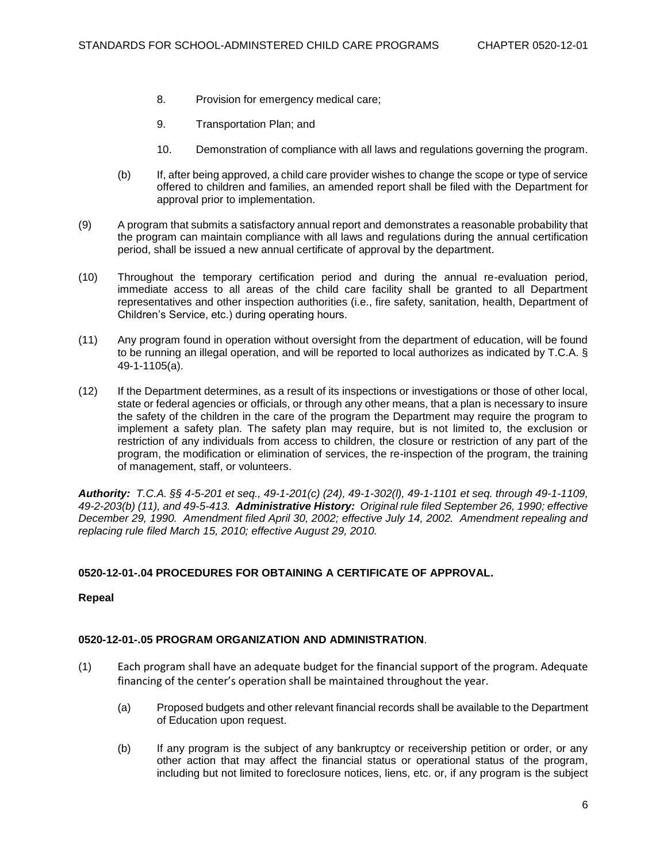- 8. Provision for emergency medical care;
- 9. Transportation Plan; and
- 10. Demonstration of compliance with all laws and regulations governing the program.
- (b) If, after being approved, a child care provider wishes to change the scope or type of service offered to children and families, an amended report shall be filed with the Department for approval prior to implementation.
- (9) A program that submits a satisfactory annual report and demonstrates a reasonable probability that the program can maintain compliance with all laws and regulations during the annual certification period, shall be issued a new annual certificate of approval by the department.
- (10) Throughout the temporary certification period and during the annual re-evaluation period, immediate access to all areas of the child care facility shall be granted to all Department representatives and other inspection authorities (i.e., fire safety, sanitation, health, Department of Children's Service, etc.) during operating hours.
- (11) Any program found in operation without oversight from the department of education, will be found to be running an illegal operation, and will be reported to local authorizes as indicated by T.C.A. § 49-1-1105(a).
- (12) If the Department determines, as a result of its inspections or investigations or those of other local, state or federal agencies or officials, or through any other means, that a plan is necessary to insure the safety of the children in the care of the program the Department may require the program to implement a safety plan. The safety plan may require, but is not limited to, the exclusion or restriction of any individuals from access to children, the closure or restriction of any part of the program, the modification or elimination of services, the re-inspection of the program, the training of management, staff, or volunteers.

*Authority: T.C.A. §§ 4-5-201 et seq., 49-1-201(c) (24), 49-1-302(l), 49-1-1101 et seq. through 49-1-1109, 49-2-203(b) (11), and 49-5-413. Administrative History: Original rule filed September 26, 1990; effective December 29, 1990. Amendment filed April 30, 2002; effective July 14, 2002. Amendment repealing and replacing rule filed March 15, 2010; effective August 29, 2010.*

## **0520-12-01-.04 PROCEDURES FOR OBTAINING A CERTIFICATE OF APPROVAL.**

## **Repeal**

## **0520-12-01-.05 PROGRAM ORGANIZATION AND ADMINISTRATION**.

- (1) Each program shall have an adequate budget for the financial support of the program. Adequate financing of the center's operation shall be maintained throughout the year.
	- (a) Proposed budgets and other relevant financial records shall be available to the Department of Education upon request.
	- (b) If any program is the subject of any bankruptcy or receivership petition or order, or any other action that may affect the financial status or operational status of the program, including but not limited to foreclosure notices, liens, etc. or, if any program is the subject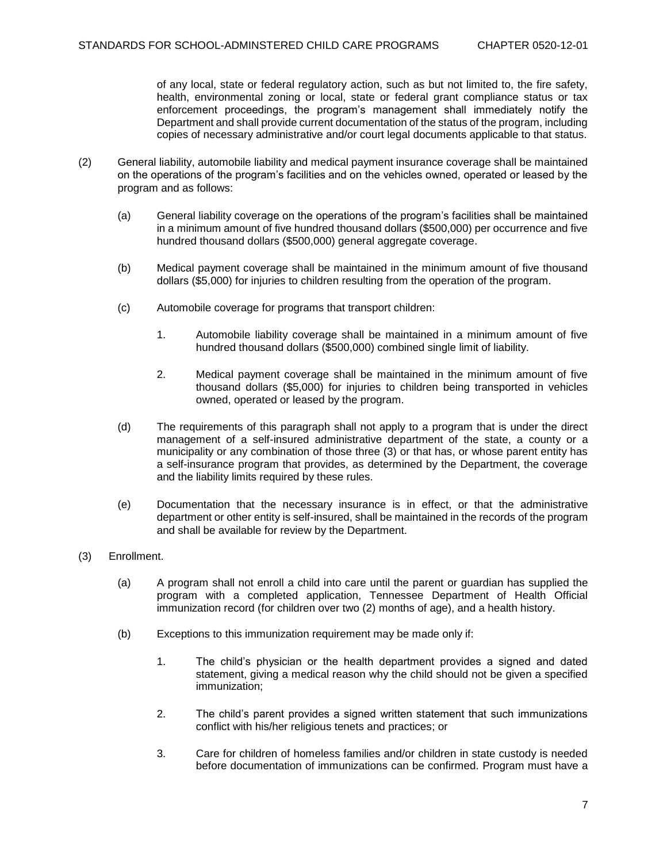of any local, state or federal regulatory action, such as but not limited to, the fire safety, health, environmental zoning or local, state or federal grant compliance status or tax enforcement proceedings, the program's management shall immediately notify the Department and shall provide current documentation of the status of the program, including copies of necessary administrative and/or court legal documents applicable to that status.

- (2) General liability, automobile liability and medical payment insurance coverage shall be maintained on the operations of the program's facilities and on the vehicles owned, operated or leased by the program and as follows:
	- (a) General liability coverage on the operations of the program's facilities shall be maintained in a minimum amount of five hundred thousand dollars (\$500,000) per occurrence and five hundred thousand dollars (\$500,000) general aggregate coverage.
	- (b) Medical payment coverage shall be maintained in the minimum amount of five thousand dollars (\$5,000) for injuries to children resulting from the operation of the program.
	- (c) Automobile coverage for programs that transport children:
		- 1. Automobile liability coverage shall be maintained in a minimum amount of five hundred thousand dollars (\$500,000) combined single limit of liability.
		- 2. Medical payment coverage shall be maintained in the minimum amount of five thousand dollars (\$5,000) for injuries to children being transported in vehicles owned, operated or leased by the program.
	- (d) The requirements of this paragraph shall not apply to a program that is under the direct management of a self-insured administrative department of the state, a county or a municipality or any combination of those three (3) or that has, or whose parent entity has a self-insurance program that provides, as determined by the Department, the coverage and the liability limits required by these rules.
	- (e) Documentation that the necessary insurance is in effect, or that the administrative department or other entity is self-insured, shall be maintained in the records of the program and shall be available for review by the Department.
- (3) Enrollment.
	- (a) A program shall not enroll a child into care until the parent or guardian has supplied the program with a completed application, Tennessee Department of Health Official immunization record (for children over two (2) months of age), and a health history.
	- (b) Exceptions to this immunization requirement may be made only if:
		- 1. The child's physician or the health department provides a signed and dated statement, giving a medical reason why the child should not be given a specified immunization;
		- 2. The child's parent provides a signed written statement that such immunizations conflict with his/her religious tenets and practices; or
		- 3. Care for children of homeless families and/or children in state custody is needed before documentation of immunizations can be confirmed. Program must have a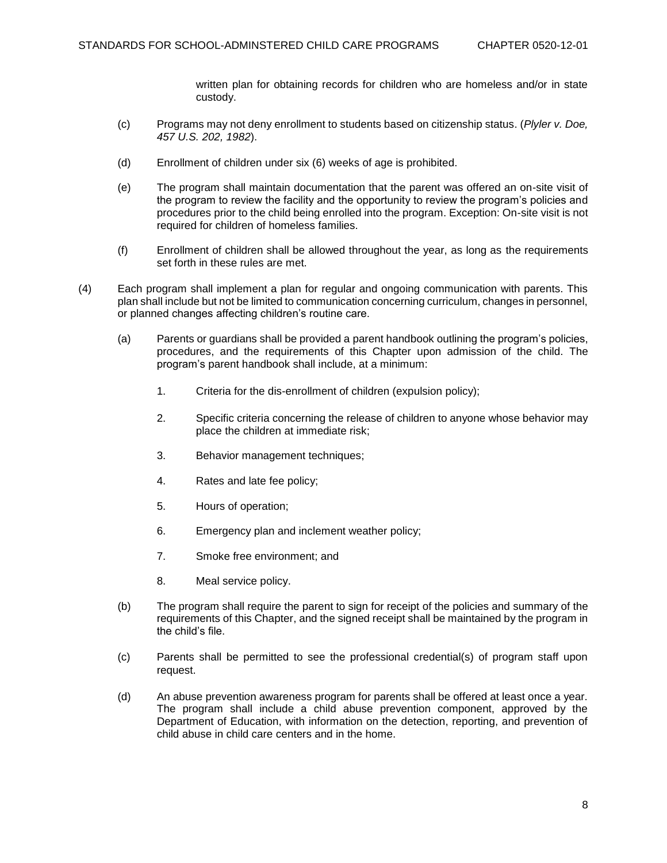written plan for obtaining records for children who are homeless and/or in state custody.

- (c) Programs may not deny enrollment to students based on citizenship status. (*Plyler v. Doe, 457 U.S. 202, 1982*).
- (d) Enrollment of children under six (6) weeks of age is prohibited.
- (e) The program shall maintain documentation that the parent was offered an on-site visit of the program to review the facility and the opportunity to review the program's policies and procedures prior to the child being enrolled into the program. Exception: On-site visit is not required for children of homeless families.
- (f) Enrollment of children shall be allowed throughout the year, as long as the requirements set forth in these rules are met.
- (4) Each program shall implement a plan for regular and ongoing communication with parents. This plan shall include but not be limited to communication concerning curriculum, changes in personnel, or planned changes affecting children's routine care.
	- (a) Parents or guardians shall be provided a parent handbook outlining the program's policies, procedures, and the requirements of this Chapter upon admission of the child. The program's parent handbook shall include, at a minimum:
		- 1. Criteria for the dis-enrollment of children (expulsion policy);
		- 2. Specific criteria concerning the release of children to anyone whose behavior may place the children at immediate risk;
		- 3. Behavior management techniques;
		- 4. Rates and late fee policy;
		- 5. Hours of operation;
		- 6. Emergency plan and inclement weather policy;
		- 7. Smoke free environment; and
		- 8. Meal service policy.
	- (b) The program shall require the parent to sign for receipt of the policies and summary of the requirements of this Chapter, and the signed receipt shall be maintained by the program in the child's file.
	- (c) Parents shall be permitted to see the professional credential(s) of program staff upon request.
	- (d) An abuse prevention awareness program for parents shall be offered at least once a year. The program shall include a child abuse prevention component, approved by the Department of Education, with information on the detection, reporting, and prevention of child abuse in child care centers and in the home.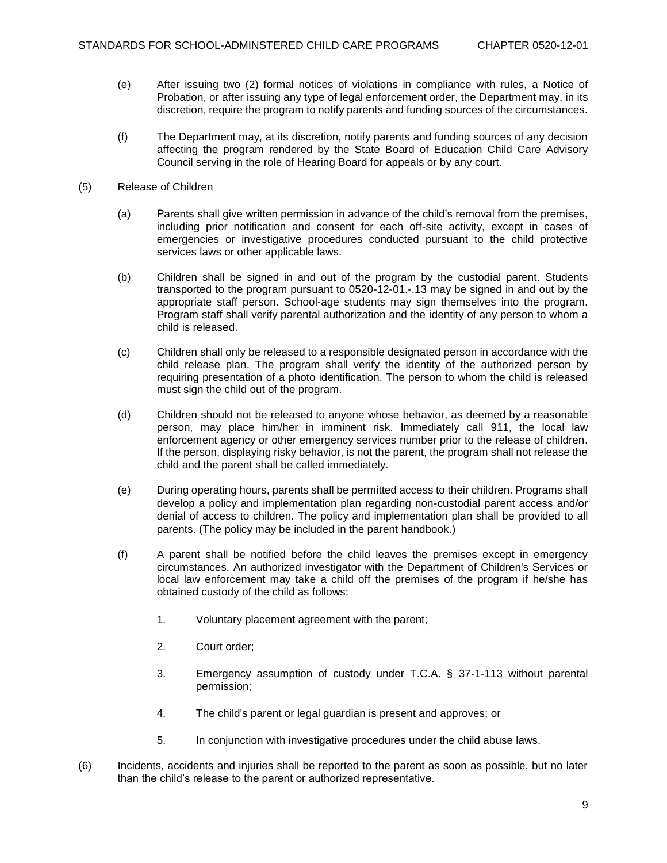- (e) After issuing two (2) formal notices of violations in compliance with rules, a Notice of Probation, or after issuing any type of legal enforcement order, the Department may, in its discretion, require the program to notify parents and funding sources of the circumstances.
- (f) The Department may, at its discretion, notify parents and funding sources of any decision affecting the program rendered by the State Board of Education Child Care Advisory Council serving in the role of Hearing Board for appeals or by any court.
- (5) Release of Children
	- (a) Parents shall give written permission in advance of the child's removal from the premises, including prior notification and consent for each off-site activity, except in cases of emergencies or investigative procedures conducted pursuant to the child protective services laws or other applicable laws.
	- (b) Children shall be signed in and out of the program by the custodial parent. Students transported to the program pursuant to 0520-12-01.-.13 may be signed in and out by the appropriate staff person. School-age students may sign themselves into the program. Program staff shall verify parental authorization and the identity of any person to whom a child is released.
	- (c) Children shall only be released to a responsible designated person in accordance with the child release plan. The program shall verify the identity of the authorized person by requiring presentation of a photo identification. The person to whom the child is released must sign the child out of the program.
	- (d) Children should not be released to anyone whose behavior, as deemed by a reasonable person, may place him/her in imminent risk. Immediately call 911, the local law enforcement agency or other emergency services number prior to the release of children. If the person, displaying risky behavior, is not the parent, the program shall not release the child and the parent shall be called immediately.
	- (e) During operating hours, parents shall be permitted access to their children. Programs shall develop a policy and implementation plan regarding non-custodial parent access and/or denial of access to children. The policy and implementation plan shall be provided to all parents. (The policy may be included in the parent handbook.)
	- (f) A parent shall be notified before the child leaves the premises except in emergency circumstances. An authorized investigator with the Department of Children's Services or local law enforcement may take a child off the premises of the program if he/she has obtained custody of the child as follows:
		- 1. Voluntary placement agreement with the parent;
		- 2. Court order;
		- 3. Emergency assumption of custody under T.C.A. § 37-1-113 without parental permission;
		- 4. The child's parent or legal guardian is present and approves; or
		- 5. In conjunction with investigative procedures under the child abuse laws.
- (6) Incidents, accidents and injuries shall be reported to the parent as soon as possible, but no later than the child's release to the parent or authorized representative.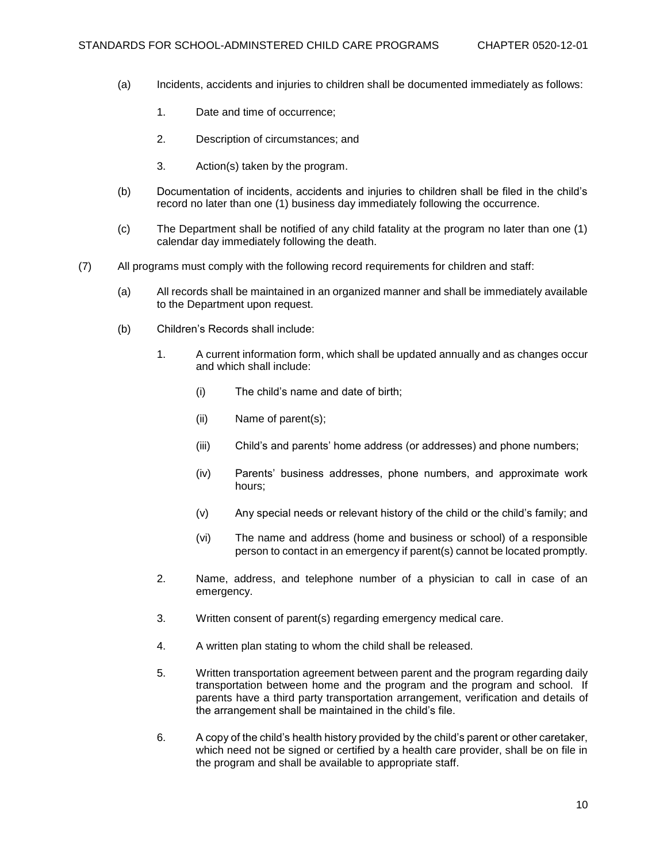- (a) Incidents, accidents and injuries to children shall be documented immediately as follows:
	- 1. Date and time of occurrence;
	- 2. Description of circumstances; and
	- 3. Action(s) taken by the program.
- (b) Documentation of incidents, accidents and injuries to children shall be filed in the child's record no later than one (1) business day immediately following the occurrence.
- (c) The Department shall be notified of any child fatality at the program no later than one (1) calendar day immediately following the death.
- (7) All programs must comply with the following record requirements for children and staff:
	- (a) All records shall be maintained in an organized manner and shall be immediately available to the Department upon request.
	- (b) Children's Records shall include:
		- 1. A current information form, which shall be updated annually and as changes occur and which shall include:
			- (i) The child's name and date of birth;
			- (ii) Name of parent(s);
			- (iii) Child's and parents' home address (or addresses) and phone numbers;
			- (iv) Parents' business addresses, phone numbers, and approximate work hours;
			- (v) Any special needs or relevant history of the child or the child's family; and
			- (vi) The name and address (home and business or school) of a responsible person to contact in an emergency if parent(s) cannot be located promptly.
		- 2. Name, address, and telephone number of a physician to call in case of an emergency.
		- 3. Written consent of parent(s) regarding emergency medical care.
		- 4. A written plan stating to whom the child shall be released.
		- 5. Written transportation agreement between parent and the program regarding daily transportation between home and the program and the program and school. If parents have a third party transportation arrangement, verification and details of the arrangement shall be maintained in the child's file.
		- 6. A copy of the child's health history provided by the child's parent or other caretaker, which need not be signed or certified by a health care provider, shall be on file in the program and shall be available to appropriate staff.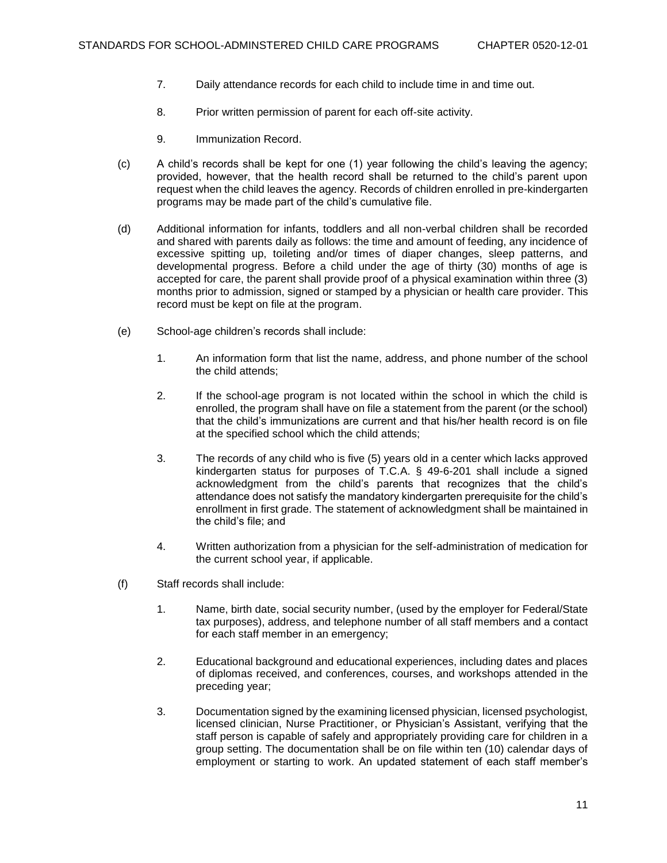- 7. Daily attendance records for each child to include time in and time out.
- 8. Prior written permission of parent for each off-site activity.
- 9. Immunization Record.
- (c) A child's records shall be kept for one (1) year following the child's leaving the agency; provided, however, that the health record shall be returned to the child's parent upon request when the child leaves the agency. Records of children enrolled in pre-kindergarten programs may be made part of the child's cumulative file.
- (d) Additional information for infants, toddlers and all non-verbal children shall be recorded and shared with parents daily as follows: the time and amount of feeding, any incidence of excessive spitting up, toileting and/or times of diaper changes, sleep patterns, and developmental progress. Before a child under the age of thirty (30) months of age is accepted for care, the parent shall provide proof of a physical examination within three (3) months prior to admission, signed or stamped by a physician or health care provider. This record must be kept on file at the program.
- (e) School-age children's records shall include:
	- 1. An information form that list the name, address, and phone number of the school the child attends;
	- 2. If the school-age program is not located within the school in which the child is enrolled, the program shall have on file a statement from the parent (or the school) that the child's immunizations are current and that his/her health record is on file at the specified school which the child attends;
	- 3. The records of any child who is five (5) years old in a center which lacks approved kindergarten status for purposes of T.C.A. § 49-6-201 shall include a signed acknowledgment from the child's parents that recognizes that the child's attendance does not satisfy the mandatory kindergarten prerequisite for the child's enrollment in first grade. The statement of acknowledgment shall be maintained in the child's file; and
	- 4. Written authorization from a physician for the self-administration of medication for the current school year, if applicable.
- (f) Staff records shall include:
	- 1. Name, birth date, social security number, (used by the employer for Federal/State tax purposes), address, and telephone number of all staff members and a contact for each staff member in an emergency;
	- 2. Educational background and educational experiences, including dates and places of diplomas received, and conferences, courses, and workshops attended in the preceding year;
	- 3. Documentation signed by the examining licensed physician, licensed psychologist, licensed clinician, Nurse Practitioner, or Physician's Assistant, verifying that the staff person is capable of safely and appropriately providing care for children in a group setting. The documentation shall be on file within ten (10) calendar days of employment or starting to work. An updated statement of each staff member's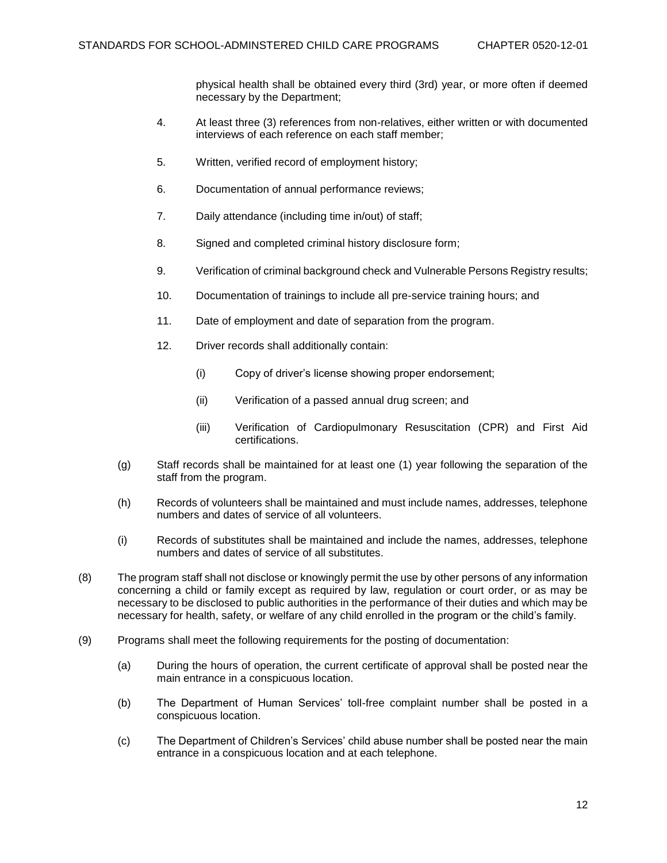physical health shall be obtained every third (3rd) year, or more often if deemed necessary by the Department;

- 4. At least three (3) references from non-relatives, either written or with documented interviews of each reference on each staff member;
- 5. Written, verified record of employment history;
- 6. Documentation of annual performance reviews;
- 7. Daily attendance (including time in/out) of staff;
- 8. Signed and completed criminal history disclosure form;
- 9. Verification of criminal background check and Vulnerable Persons Registry results;
- 10. Documentation of trainings to include all pre-service training hours; and
- 11. Date of employment and date of separation from the program.
- 12. Driver records shall additionally contain:
	- (i) Copy of driver's license showing proper endorsement;
	- (ii) Verification of a passed annual drug screen; and
	- (iii) Verification of Cardiopulmonary Resuscitation (CPR) and First Aid certifications.
- (g) Staff records shall be maintained for at least one (1) year following the separation of the staff from the program.
- (h) Records of volunteers shall be maintained and must include names, addresses, telephone numbers and dates of service of all volunteers.
- (i) Records of substitutes shall be maintained and include the names, addresses, telephone numbers and dates of service of all substitutes.
- (8) The program staff shall not disclose or knowingly permit the use by other persons of any information concerning a child or family except as required by law, regulation or court order, or as may be necessary to be disclosed to public authorities in the performance of their duties and which may be necessary for health, safety, or welfare of any child enrolled in the program or the child's family.
- (9) Programs shall meet the following requirements for the posting of documentation:
	- (a) During the hours of operation, the current certificate of approval shall be posted near the main entrance in a conspicuous location.
	- (b) The Department of Human Services' toll-free complaint number shall be posted in a conspicuous location.
	- (c) The Department of Children's Services' child abuse number shall be posted near the main entrance in a conspicuous location and at each telephone.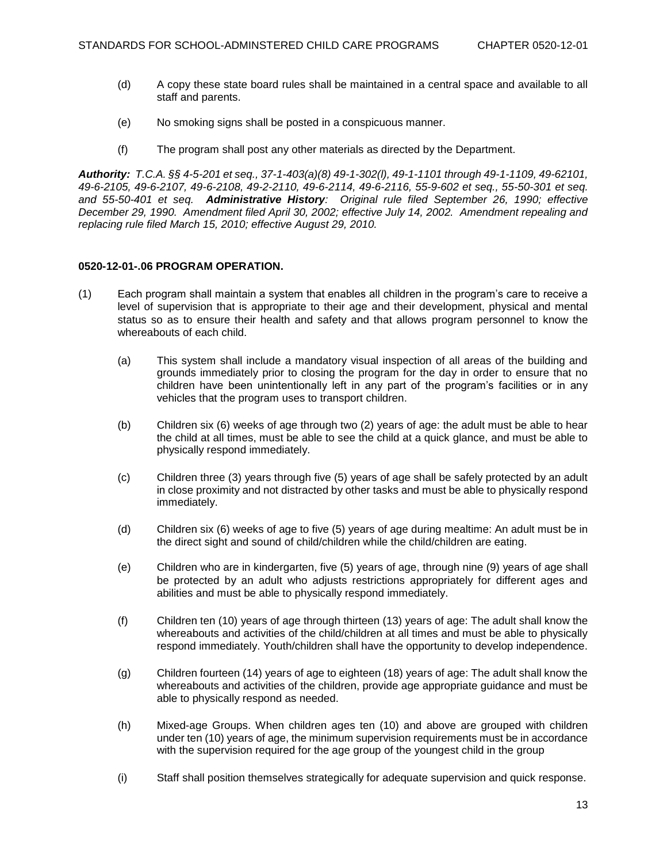- (d) A copy these state board rules shall be maintained in a central space and available to all staff and parents.
- (e) No smoking signs shall be posted in a conspicuous manner.
- (f) The program shall post any other materials as directed by the Department.

*Authority: T.C.A. §§ 4-5-201 et seq., 37-1-403(a)(8) 49-1-302(l), 49-1-1101 through 49-1-1109, 49-62101, 49-6-2105, 49-6-2107, 49-6-2108, 49-2-2110, 49-6-2114, 49-6-2116, 55-9-602 et seq., 55-50-301 et seq. and 55-50-401 et seq. Administrative History: Original rule filed September 26, 1990; effective December 29, 1990. Amendment filed April 30, 2002; effective July 14, 2002. Amendment repealing and replacing rule filed March 15, 2010; effective August 29, 2010.*

## **0520-12-01-.06 PROGRAM OPERATION.**

- (1) Each program shall maintain a system that enables all children in the program's care to receive a level of supervision that is appropriate to their age and their development, physical and mental status so as to ensure their health and safety and that allows program personnel to know the whereabouts of each child.
	- (a) This system shall include a mandatory visual inspection of all areas of the building and grounds immediately prior to closing the program for the day in order to ensure that no children have been unintentionally left in any part of the program's facilities or in any vehicles that the program uses to transport children.
	- (b) Children six (6) weeks of age through two (2) years of age: the adult must be able to hear the child at all times, must be able to see the child at a quick glance, and must be able to physically respond immediately.
	- (c) Children three (3) years through five (5) years of age shall be safely protected by an adult in close proximity and not distracted by other tasks and must be able to physically respond immediately.
	- (d) Children six (6) weeks of age to five (5) years of age during mealtime: An adult must be in the direct sight and sound of child/children while the child/children are eating.
	- (e) Children who are in kindergarten, five (5) years of age, through nine (9) years of age shall be protected by an adult who adjusts restrictions appropriately for different ages and abilities and must be able to physically respond immediately.
	- (f) Children ten (10) years of age through thirteen (13) years of age: The adult shall know the whereabouts and activities of the child/children at all times and must be able to physically respond immediately. Youth/children shall have the opportunity to develop independence.
	- (g) Children fourteen (14) years of age to eighteen (18) years of age: The adult shall know the whereabouts and activities of the children, provide age appropriate guidance and must be able to physically respond as needed.
	- (h) Mixed-age Groups. When children ages ten (10) and above are grouped with children under ten (10) years of age, the minimum supervision requirements must be in accordance with the supervision required for the age group of the youngest child in the group
	- (i) Staff shall position themselves strategically for adequate supervision and quick response.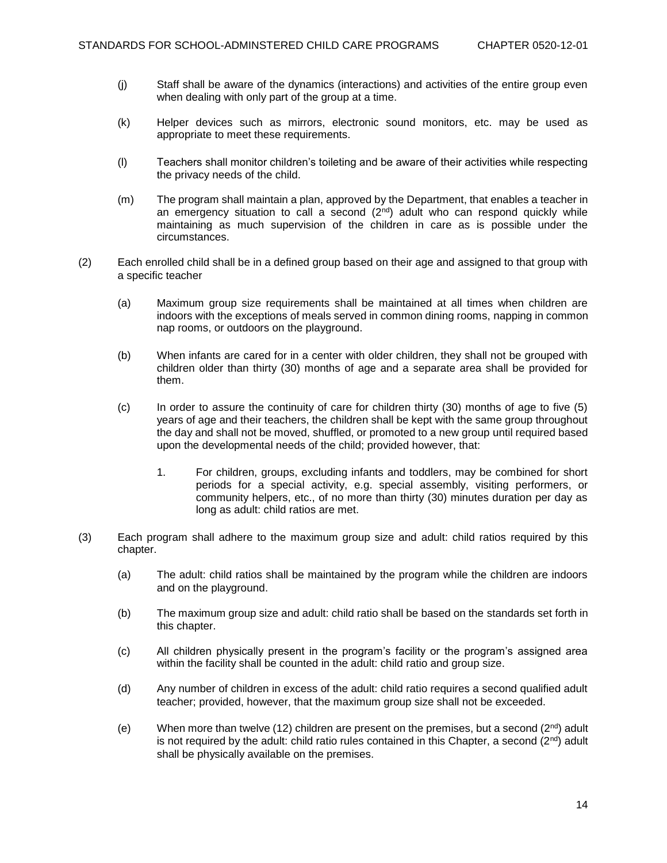- (j) Staff shall be aware of the dynamics (interactions) and activities of the entire group even when dealing with only part of the group at a time.
- (k) Helper devices such as mirrors, electronic sound monitors, etc. may be used as appropriate to meet these requirements.
- (l) Teachers shall monitor children's toileting and be aware of their activities while respecting the privacy needs of the child.
- (m) The program shall maintain a plan, approved by the Department, that enables a teacher in an emergency situation to call a second  $(2<sup>nd</sup>)$  adult who can respond quickly while maintaining as much supervision of the children in care as is possible under the circumstances.
- (2) Each enrolled child shall be in a defined group based on their age and assigned to that group with a specific teacher
	- (a) Maximum group size requirements shall be maintained at all times when children are indoors with the exceptions of meals served in common dining rooms, napping in common nap rooms, or outdoors on the playground.
	- (b) When infants are cared for in a center with older children, they shall not be grouped with children older than thirty (30) months of age and a separate area shall be provided for them.
	- (c) In order to assure the continuity of care for children thirty (30) months of age to five (5) years of age and their teachers, the children shall be kept with the same group throughout the day and shall not be moved, shuffled, or promoted to a new group until required based upon the developmental needs of the child; provided however, that:
		- 1. For children, groups, excluding infants and toddlers, may be combined for short periods for a special activity, e.g. special assembly, visiting performers, or community helpers, etc., of no more than thirty (30) minutes duration per day as long as adult: child ratios are met.
- (3) Each program shall adhere to the maximum group size and adult: child ratios required by this chapter.
	- (a) The adult: child ratios shall be maintained by the program while the children are indoors and on the playground.
	- (b) The maximum group size and adult: child ratio shall be based on the standards set forth in this chapter.
	- (c) All children physically present in the program's facility or the program's assigned area within the facility shall be counted in the adult: child ratio and group size.
	- (d) Any number of children in excess of the adult: child ratio requires a second qualified adult teacher; provided, however, that the maximum group size shall not be exceeded.
	- (e) When more than twelve (12) children are present on the premises, but a second  $(2^{nd})$  adult is not required by the adult: child ratio rules contained in this Chapter, a second  $(2^{nd})$  adult shall be physically available on the premises.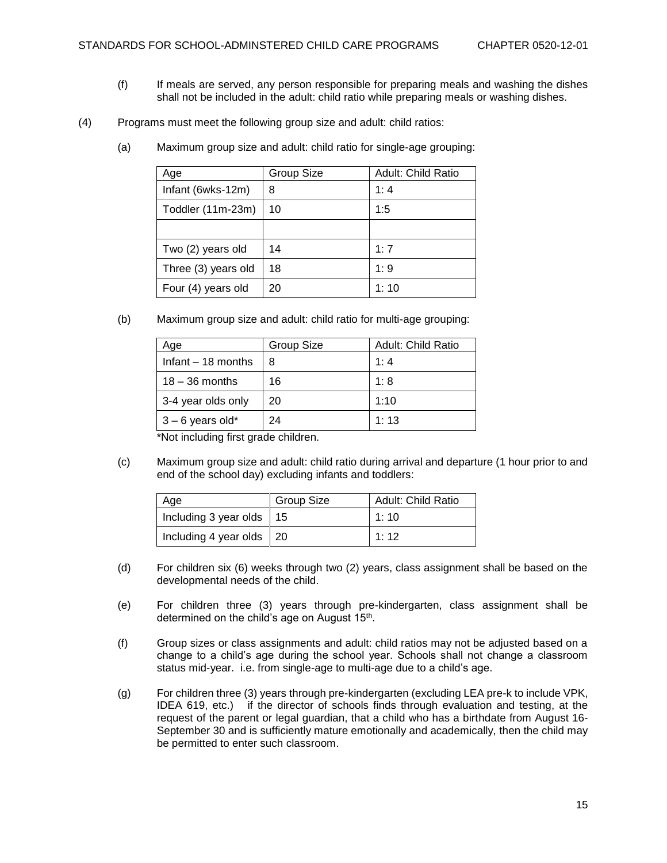- (f) If meals are served, any person responsible for preparing meals and washing the dishes shall not be included in the adult: child ratio while preparing meals or washing dishes.
- (4) Programs must meet the following group size and adult: child ratios:
	- (a) Maximum group size and adult: child ratio for single-age grouping:

| Age                 | <b>Group Size</b> | <b>Adult: Child Ratio</b> |
|---------------------|-------------------|---------------------------|
| Infant (6wks-12m)   | 8                 | 1:4                       |
| Toddler (11m-23m)   | 10                | 1:5                       |
|                     |                   |                           |
| Two (2) years old   | 14                | 1:7                       |
| Three (3) years old | 18                | 1:9                       |
| Four (4) years old  | 20                | 1:10                      |

(b) Maximum group size and adult: child ratio for multi-age grouping:

| Age                 | <b>Group Size</b> | Adult: Child Ratio |
|---------------------|-------------------|--------------------|
| Infant $-18$ months | 8                 | 1:4                |
| $18 - 36$ months    | 16                | 1:8                |
| 3-4 year olds only  | 20                | 1:10               |
| $3 - 6$ years old*  | 24                | 1:13               |

\*Not including first grade children.

(c) Maximum group size and adult: child ratio during arrival and departure (1 hour prior to and end of the school day) excluding infants and toddlers:

| Age                              | <b>Group Size</b> | <b>Adult: Child Ratio</b> |
|----------------------------------|-------------------|---------------------------|
| Including 3 year olds $\vert$ 15 |                   | 1:10                      |
| Including 4 year olds $\vert$ 20 |                   | 1:12                      |

- (d) For children six (6) weeks through two (2) years, class assignment shall be based on the developmental needs of the child.
- (e) For children three (3) years through pre-kindergarten, class assignment shall be determined on the child's age on August 15<sup>th</sup>.
- (f) Group sizes or class assignments and adult: child ratios may not be adjusted based on a change to a child's age during the school year. Schools shall not change a classroom status mid-year. i.e. from single-age to multi-age due to a child's age.
- (g) For children three (3) years through pre-kindergarten (excluding LEA pre-k to include VPK, IDEA 619, etc.) if the director of schools finds through evaluation and testing, at the request of the parent or legal guardian, that a child who has a birthdate from August 16- September 30 and is sufficiently mature emotionally and academically, then the child may be permitted to enter such classroom.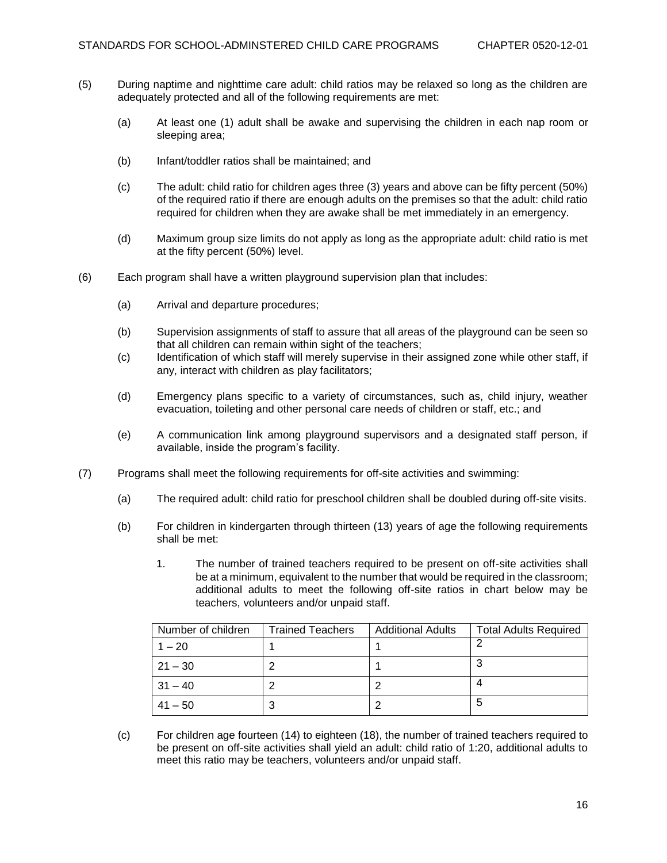- (5) During naptime and nighttime care adult: child ratios may be relaxed so long as the children are adequately protected and all of the following requirements are met:
	- (a) At least one (1) adult shall be awake and supervising the children in each nap room or sleeping area;
	- (b) Infant/toddler ratios shall be maintained; and
	- (c) The adult: child ratio for children ages three (3) years and above can be fifty percent (50%) of the required ratio if there are enough adults on the premises so that the adult: child ratio required for children when they are awake shall be met immediately in an emergency.
	- (d) Maximum group size limits do not apply as long as the appropriate adult: child ratio is met at the fifty percent (50%) level.
- (6) Each program shall have a written playground supervision plan that includes:
	- (a) Arrival and departure procedures;
	- (b) Supervision assignments of staff to assure that all areas of the playground can be seen so that all children can remain within sight of the teachers;
	- (c) Identification of which staff will merely supervise in their assigned zone while other staff, if any, interact with children as play facilitators;
	- (d) Emergency plans specific to a variety of circumstances, such as, child injury, weather evacuation, toileting and other personal care needs of children or staff, etc.; and
	- (e) A communication link among playground supervisors and a designated staff person, if available, inside the program's facility.
- (7) Programs shall meet the following requirements for off-site activities and swimming:
	- (a) The required adult: child ratio for preschool children shall be doubled during off-site visits.
	- (b) For children in kindergarten through thirteen (13) years of age the following requirements shall be met:
		- 1. The number of trained teachers required to be present on off-site activities shall be at a minimum, equivalent to the number that would be required in the classroom; additional adults to meet the following off-site ratios in chart below may be teachers, volunteers and/or unpaid staff.

| Number of children | <b>Trained Teachers</b> | <b>Additional Adults</b> | <b>Total Adults Required</b> |
|--------------------|-------------------------|--------------------------|------------------------------|
| $1 - 20$           |                         |                          |                              |
| l 21 – 30          | റ                       |                          |                              |
| $31 - 40$          |                         | າ                        |                              |
| $41 - 50$          | 3                       | າ                        |                              |

(c) For children age fourteen (14) to eighteen (18), the number of trained teachers required to be present on off-site activities shall yield an adult: child ratio of 1:20, additional adults to meet this ratio may be teachers, volunteers and/or unpaid staff.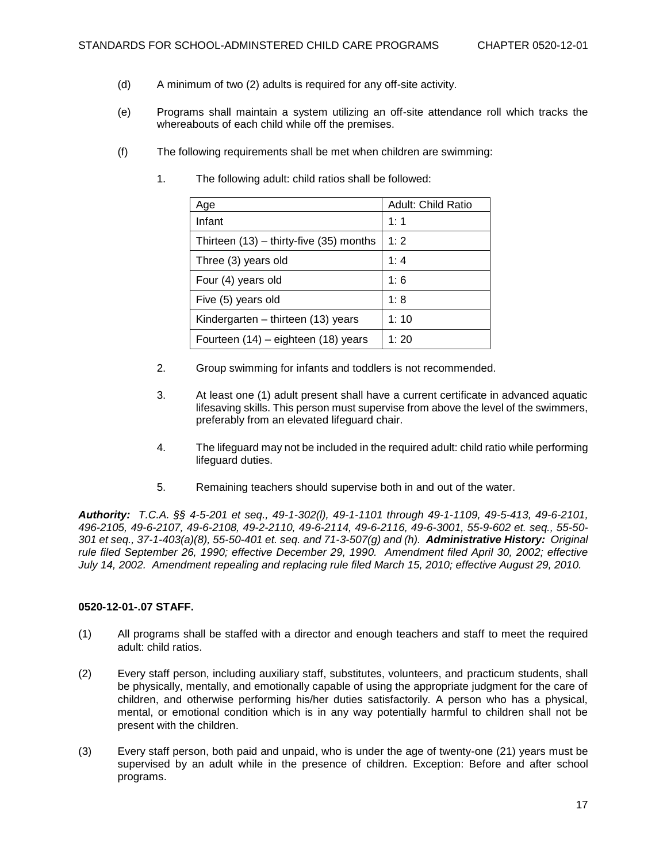- (d) A minimum of two (2) adults is required for any off-site activity.
- (e) Programs shall maintain a system utilizing an off-site attendance roll which tracks the whereabouts of each child while off the premises.
- (f) The following requirements shall be met when children are swimming:

| Age                                         | Adult: Child Ratio |
|---------------------------------------------|--------------------|
| Infant                                      | 1:1                |
| Thirteen $(13)$ – thirty-five $(35)$ months | 1:2                |
| Three (3) years old                         | 1:4                |
| Four (4) years old                          | 1:6                |
| Five (5) years old                          | 1:8                |
| Kindergarten – thirteen (13) years          | 1:10               |
| Fourteen (14) – eighteen (18) years         | 1:20               |

1. The following adult: child ratios shall be followed:

- 2. Group swimming for infants and toddlers is not recommended.
- 3. At least one (1) adult present shall have a current certificate in advanced aquatic lifesaving skills. This person must supervise from above the level of the swimmers, preferably from an elevated lifeguard chair.
- 4. The lifeguard may not be included in the required adult: child ratio while performing lifeguard duties.
- 5. Remaining teachers should supervise both in and out of the water.

*Authority: T.C.A. §§ 4-5-201 et seq., 49-1-302(l), 49-1-1101 through 49-1-1109, 49-5-413, 49-6-2101, 496-2105, 49-6-2107, 49-6-2108, 49-2-2110, 49-6-2114, 49-6-2116, 49-6-3001, 55-9-602 et. seq., 55-50- 301 et seq., 37-1-403(a)(8), 55-50-401 et. seq. and 71-3-507(g) and (h). Administrative History: Original rule filed September 26, 1990; effective December 29, 1990. Amendment filed April 30, 2002; effective July 14, 2002. Amendment repealing and replacing rule filed March 15, 2010; effective August 29, 2010.*

# **0520-12-01-.07 STAFF.**

- (1) All programs shall be staffed with a director and enough teachers and staff to meet the required adult: child ratios.
- (2) Every staff person, including auxiliary staff, substitutes, volunteers, and practicum students, shall be physically, mentally, and emotionally capable of using the appropriate judgment for the care of children, and otherwise performing his/her duties satisfactorily. A person who has a physical, mental, or emotional condition which is in any way potentially harmful to children shall not be present with the children.
- (3) Every staff person, both paid and unpaid, who is under the age of twenty-one (21) years must be supervised by an adult while in the presence of children. Exception: Before and after school programs.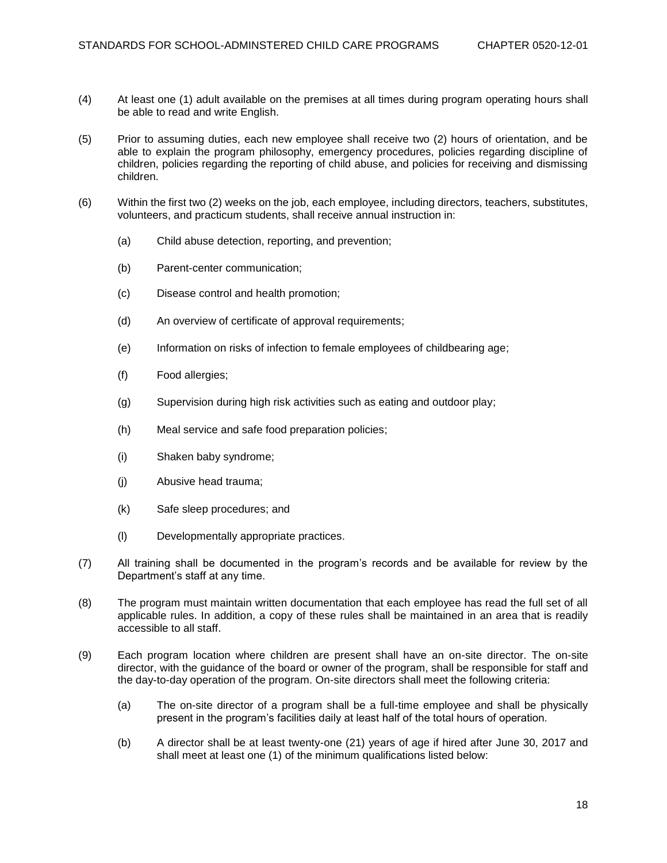- (4) At least one (1) adult available on the premises at all times during program operating hours shall be able to read and write English.
- (5) Prior to assuming duties, each new employee shall receive two (2) hours of orientation, and be able to explain the program philosophy, emergency procedures, policies regarding discipline of children, policies regarding the reporting of child abuse, and policies for receiving and dismissing children.
- (6) Within the first two (2) weeks on the job, each employee, including directors, teachers, substitutes, volunteers, and practicum students, shall receive annual instruction in:
	- (a) Child abuse detection, reporting, and prevention;
	- (b) Parent-center communication;
	- (c) Disease control and health promotion;
	- (d) An overview of certificate of approval requirements;
	- (e) Information on risks of infection to female employees of childbearing age;
	- (f) Food allergies;
	- (g) Supervision during high risk activities such as eating and outdoor play;
	- (h) Meal service and safe food preparation policies;
	- (i) Shaken baby syndrome;
	- (j) Abusive head trauma;
	- (k) Safe sleep procedures; and
	- (l) Developmentally appropriate practices.
- (7) All training shall be documented in the program's records and be available for review by the Department's staff at any time.
- (8) The program must maintain written documentation that each employee has read the full set of all applicable rules. In addition, a copy of these rules shall be maintained in an area that is readily accessible to all staff.
- (9) Each program location where children are present shall have an on-site director. The on-site director, with the guidance of the board or owner of the program, shall be responsible for staff and the day-to-day operation of the program. On-site directors shall meet the following criteria:
	- (a) The on-site director of a program shall be a full-time employee and shall be physically present in the program's facilities daily at least half of the total hours of operation.
	- (b) A director shall be at least twenty-one (21) years of age if hired after June 30, 2017 and shall meet at least one (1) of the minimum qualifications listed below: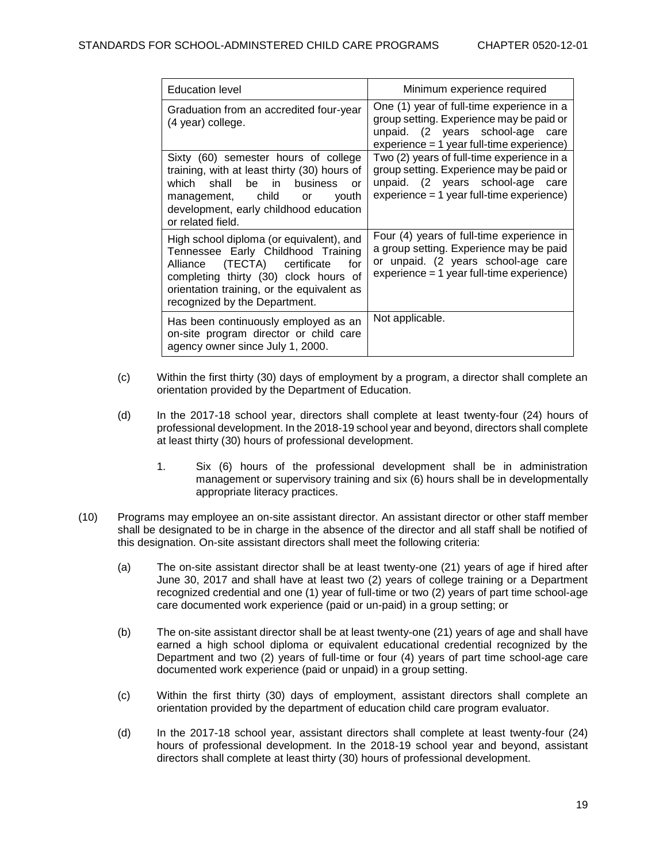| <b>Education level</b>                                                                                                                                                                                                                        | Minimum experience required                                                                                                                                               |
|-----------------------------------------------------------------------------------------------------------------------------------------------------------------------------------------------------------------------------------------------|---------------------------------------------------------------------------------------------------------------------------------------------------------------------------|
| Graduation from an accredited four-year<br>(4 year) college.                                                                                                                                                                                  | One (1) year of full-time experience in a<br>group setting. Experience may be paid or<br>unpaid. (2 years school-age care<br>experience = 1 year full-time experience)    |
| Sixty (60) semester hours of college<br>training, with at least thirty (30) hours of<br>which shall<br>be in business<br>or<br>management, child or<br>youth<br>development, early childhood education<br>or related field.                   | Two (2) years of full-time experience in a<br>group setting. Experience may be paid or<br>unpaid. (2 years school-age care<br>$experience = 1 year full-time experience)$ |
| High school diploma (or equivalent), and<br>Tennessee Early Childhood Training<br>Alliance (TECTA) certificate<br>for<br>completing thirty (30) clock hours of<br>orientation training, or the equivalent as<br>recognized by the Department. | Four (4) years of full-time experience in<br>a group setting. Experience may be paid<br>or unpaid. (2 years school-age care<br>experience = 1 year full-time experience)  |
| Has been continuously employed as an<br>on-site program director or child care<br>agency owner since July 1, 2000.                                                                                                                            | Not applicable.                                                                                                                                                           |

- (c) Within the first thirty (30) days of employment by a program, a director shall complete an orientation provided by the Department of Education.
- (d) In the 2017-18 school year, directors shall complete at least twenty-four (24) hours of professional development. In the 2018-19 school year and beyond, directors shall complete at least thirty (30) hours of professional development.
	- 1. Six (6) hours of the professional development shall be in administration management or supervisory training and six (6) hours shall be in developmentally appropriate literacy practices.
- (10) Programs may employee an on-site assistant director. An assistant director or other staff member shall be designated to be in charge in the absence of the director and all staff shall be notified of this designation. On-site assistant directors shall meet the following criteria:
	- (a) The on-site assistant director shall be at least twenty-one (21) years of age if hired after June 30, 2017 and shall have at least two (2) years of college training or a Department recognized credential and one (1) year of full-time or two (2) years of part time school-age care documented work experience (paid or un-paid) in a group setting; or
	- (b) The on-site assistant director shall be at least twenty-one (21) years of age and shall have earned a high school diploma or equivalent educational credential recognized by the Department and two (2) years of full-time or four (4) years of part time school-age care documented work experience (paid or unpaid) in a group setting.
	- (c) Within the first thirty (30) days of employment, assistant directors shall complete an orientation provided by the department of education child care program evaluator.
	- (d) In the 2017-18 school year, assistant directors shall complete at least twenty-four (24) hours of professional development. In the 2018-19 school year and beyond, assistant directors shall complete at least thirty (30) hours of professional development.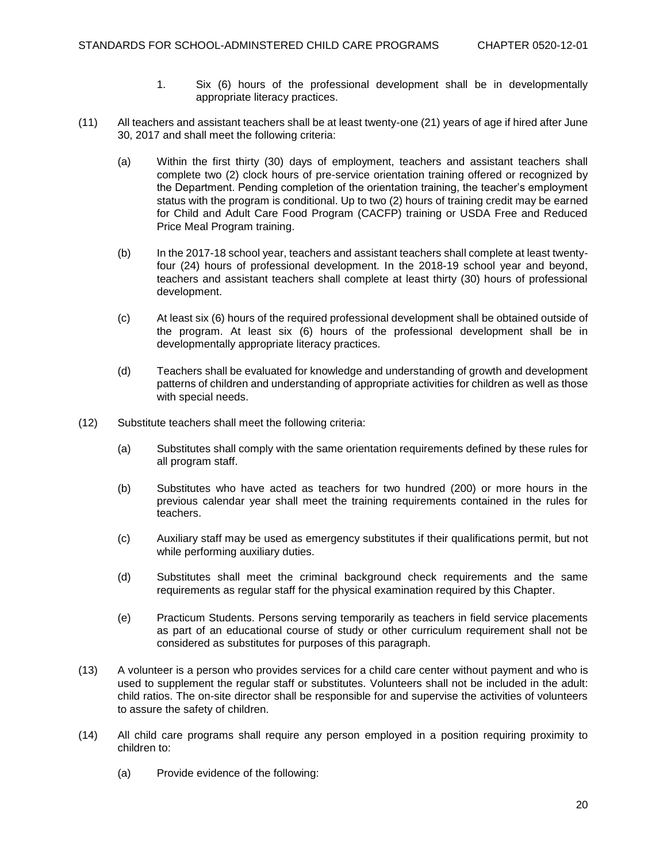- 1. Six (6) hours of the professional development shall be in developmentally appropriate literacy practices.
- (11) All teachers and assistant teachers shall be at least twenty-one (21) years of age if hired after June 30, 2017 and shall meet the following criteria:
	- (a) Within the first thirty (30) days of employment, teachers and assistant teachers shall complete two (2) clock hours of pre-service orientation training offered or recognized by the Department. Pending completion of the orientation training, the teacher's employment status with the program is conditional. Up to two (2) hours of training credit may be earned for Child and Adult Care Food Program (CACFP) training or USDA Free and Reduced Price Meal Program training.
	- (b) In the 2017-18 school year, teachers and assistant teachers shall complete at least twentyfour (24) hours of professional development. In the 2018-19 school year and beyond, teachers and assistant teachers shall complete at least thirty (30) hours of professional development.
	- (c) At least six (6) hours of the required professional development shall be obtained outside of the program. At least six (6) hours of the professional development shall be in developmentally appropriate literacy practices.
	- (d) Teachers shall be evaluated for knowledge and understanding of growth and development patterns of children and understanding of appropriate activities for children as well as those with special needs.
- (12) Substitute teachers shall meet the following criteria:
	- (a) Substitutes shall comply with the same orientation requirements defined by these rules for all program staff.
	- (b) Substitutes who have acted as teachers for two hundred (200) or more hours in the previous calendar year shall meet the training requirements contained in the rules for teachers.
	- (c) Auxiliary staff may be used as emergency substitutes if their qualifications permit, but not while performing auxiliary duties.
	- (d) Substitutes shall meet the criminal background check requirements and the same requirements as regular staff for the physical examination required by this Chapter.
	- (e) Practicum Students. Persons serving temporarily as teachers in field service placements as part of an educational course of study or other curriculum requirement shall not be considered as substitutes for purposes of this paragraph.
- (13) A volunteer is a person who provides services for a child care center without payment and who is used to supplement the regular staff or substitutes. Volunteers shall not be included in the adult: child ratios. The on-site director shall be responsible for and supervise the activities of volunteers to assure the safety of children.
- (14) All child care programs shall require any person employed in a position requiring proximity to children to:
	- (a) Provide evidence of the following: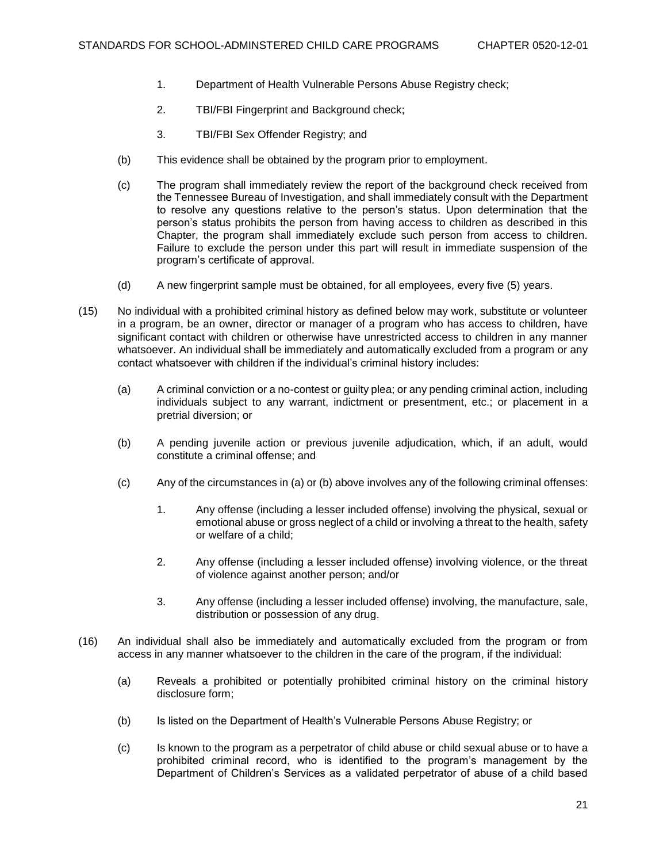- 1. Department of Health Vulnerable Persons Abuse Registry check;
- 2. TBI/FBI Fingerprint and Background check;
- 3. TBI/FBI Sex Offender Registry; and
- (b) This evidence shall be obtained by the program prior to employment.
- (c) The program shall immediately review the report of the background check received from the Tennessee Bureau of Investigation, and shall immediately consult with the Department to resolve any questions relative to the person's status. Upon determination that the person's status prohibits the person from having access to children as described in this Chapter, the program shall immediately exclude such person from access to children. Failure to exclude the person under this part will result in immediate suspension of the program's certificate of approval.
- (d) A new fingerprint sample must be obtained, for all employees, every five (5) years.
- (15) No individual with a prohibited criminal history as defined below may work, substitute or volunteer in a program, be an owner, director or manager of a program who has access to children, have significant contact with children or otherwise have unrestricted access to children in any manner whatsoever. An individual shall be immediately and automatically excluded from a program or any contact whatsoever with children if the individual's criminal history includes:
	- (a) A criminal conviction or a no-contest or guilty plea; or any pending criminal action, including individuals subject to any warrant, indictment or presentment, etc.; or placement in a pretrial diversion; or
	- (b) A pending juvenile action or previous juvenile adjudication, which, if an adult, would constitute a criminal offense; and
	- (c) Any of the circumstances in (a) or (b) above involves any of the following criminal offenses:
		- 1. Any offense (including a lesser included offense) involving the physical, sexual or emotional abuse or gross neglect of a child or involving a threat to the health, safety or welfare of a child;
		- 2. Any offense (including a lesser included offense) involving violence, or the threat of violence against another person; and/or
		- 3. Any offense (including a lesser included offense) involving, the manufacture, sale, distribution or possession of any drug.
- (16) An individual shall also be immediately and automatically excluded from the program or from access in any manner whatsoever to the children in the care of the program, if the individual:
	- (a) Reveals a prohibited or potentially prohibited criminal history on the criminal history disclosure form;
	- (b) Is listed on the Department of Health's Vulnerable Persons Abuse Registry; or
	- (c) Is known to the program as a perpetrator of child abuse or child sexual abuse or to have a prohibited criminal record, who is identified to the program's management by the Department of Children's Services as a validated perpetrator of abuse of a child based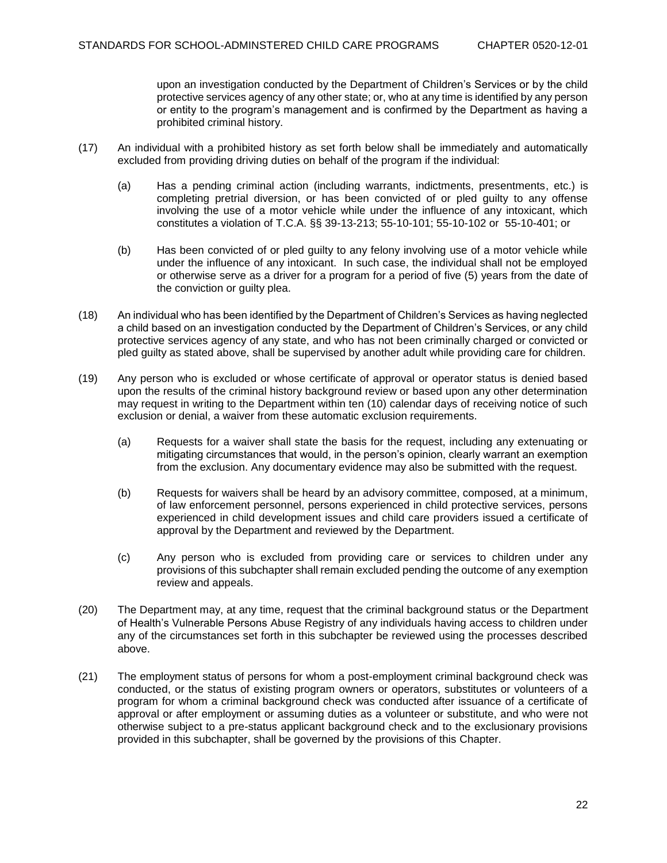upon an investigation conducted by the Department of Children's Services or by the child protective services agency of any other state; or, who at any time is identified by any person or entity to the program's management and is confirmed by the Department as having a prohibited criminal history.

- (17) An individual with a prohibited history as set forth below shall be immediately and automatically excluded from providing driving duties on behalf of the program if the individual:
	- (a) Has a pending criminal action (including warrants, indictments, presentments, etc.) is completing pretrial diversion, or has been convicted of or pled guilty to any offense involving the use of a motor vehicle while under the influence of any intoxicant, which constitutes a violation of T.C.A. §§ 39-13-213; 55-10-101; 55-10-102 or 55-10-401; or
	- (b) Has been convicted of or pled guilty to any felony involving use of a motor vehicle while under the influence of any intoxicant. In such case, the individual shall not be employed or otherwise serve as a driver for a program for a period of five (5) years from the date of the conviction or guilty plea.
- (18) An individual who has been identified by the Department of Children's Services as having neglected a child based on an investigation conducted by the Department of Children's Services, or any child protective services agency of any state, and who has not been criminally charged or convicted or pled guilty as stated above, shall be supervised by another adult while providing care for children.
- (19) Any person who is excluded or whose certificate of approval or operator status is denied based upon the results of the criminal history background review or based upon any other determination may request in writing to the Department within ten (10) calendar days of receiving notice of such exclusion or denial, a waiver from these automatic exclusion requirements.
	- (a) Requests for a waiver shall state the basis for the request, including any extenuating or mitigating circumstances that would, in the person's opinion, clearly warrant an exemption from the exclusion. Any documentary evidence may also be submitted with the request.
	- (b) Requests for waivers shall be heard by an advisory committee, composed, at a minimum, of law enforcement personnel, persons experienced in child protective services, persons experienced in child development issues and child care providers issued a certificate of approval by the Department and reviewed by the Department.
	- (c) Any person who is excluded from providing care or services to children under any provisions of this subchapter shall remain excluded pending the outcome of any exemption review and appeals.
- (20) The Department may, at any time, request that the criminal background status or the Department of Health's Vulnerable Persons Abuse Registry of any individuals having access to children under any of the circumstances set forth in this subchapter be reviewed using the processes described above.
- (21) The employment status of persons for whom a post-employment criminal background check was conducted, or the status of existing program owners or operators, substitutes or volunteers of a program for whom a criminal background check was conducted after issuance of a certificate of approval or after employment or assuming duties as a volunteer or substitute, and who were not otherwise subject to a pre-status applicant background check and to the exclusionary provisions provided in this subchapter, shall be governed by the provisions of this Chapter.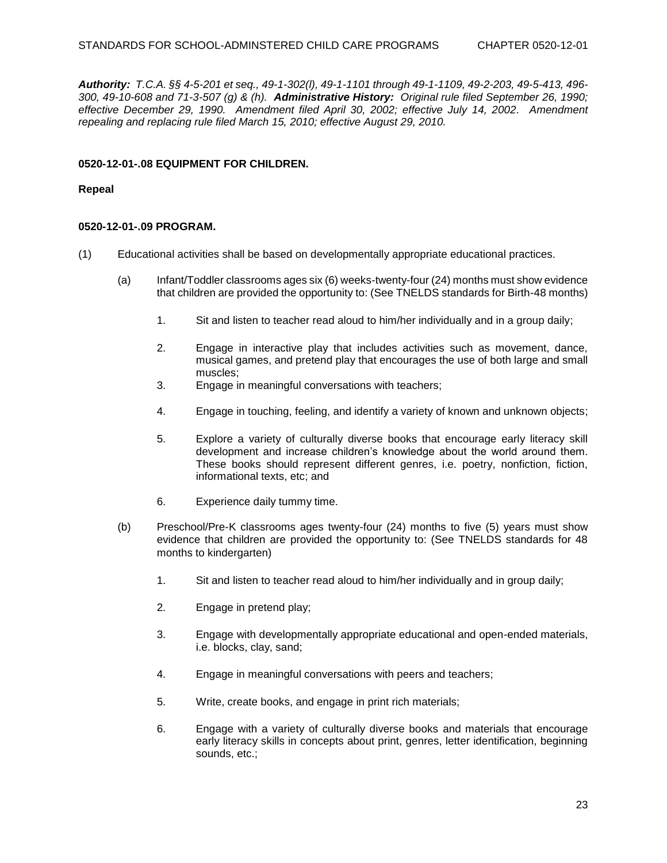*Authority: T.C.A. §§ 4-5-201 et seq., 49-1-302(l), 49-1-1101 through 49-1-1109, 49-2-203, 49-5-413, 496- 300, 49-10-608 and 71-3-507 (g) & (h). Administrative History: Original rule filed September 26, 1990; effective December 29, 1990. Amendment filed April 30, 2002; effective July 14, 2002. Amendment repealing and replacing rule filed March 15, 2010; effective August 29, 2010.*

#### **0520-12-01-.08 EQUIPMENT FOR CHILDREN.**

#### **Repeal**

#### **0520-12-01-.09 PROGRAM.**

- (1) Educational activities shall be based on developmentally appropriate educational practices.
	- (a) Infant/Toddler classrooms ages six (6) weeks-twenty-four (24) months must show evidence that children are provided the opportunity to: (See TNELDS standards for Birth-48 months)
		- 1. Sit and listen to teacher read aloud to him/her individually and in a group daily;
		- 2. Engage in interactive play that includes activities such as movement, dance, musical games, and pretend play that encourages the use of both large and small muscles;
		- 3. Engage in meaningful conversations with teachers;
		- 4. Engage in touching, feeling, and identify a variety of known and unknown objects;
		- 5. Explore a variety of culturally diverse books that encourage early literacy skill development and increase children's knowledge about the world around them. These books should represent different genres, i.e. poetry, nonfiction, fiction, informational texts, etc; and
		- 6. Experience daily tummy time.
	- (b) Preschool/Pre-K classrooms ages twenty-four (24) months to five (5) years must show evidence that children are provided the opportunity to: (See TNELDS standards for 48 months to kindergarten)
		- 1. Sit and listen to teacher read aloud to him/her individually and in group daily;
		- 2. Engage in pretend play;
		- 3. Engage with developmentally appropriate educational and open-ended materials, i.e. blocks, clay, sand;
		- 4. Engage in meaningful conversations with peers and teachers;
		- 5. Write, create books, and engage in print rich materials;
		- 6. Engage with a variety of culturally diverse books and materials that encourage early literacy skills in concepts about print, genres, letter identification, beginning sounds, etc.;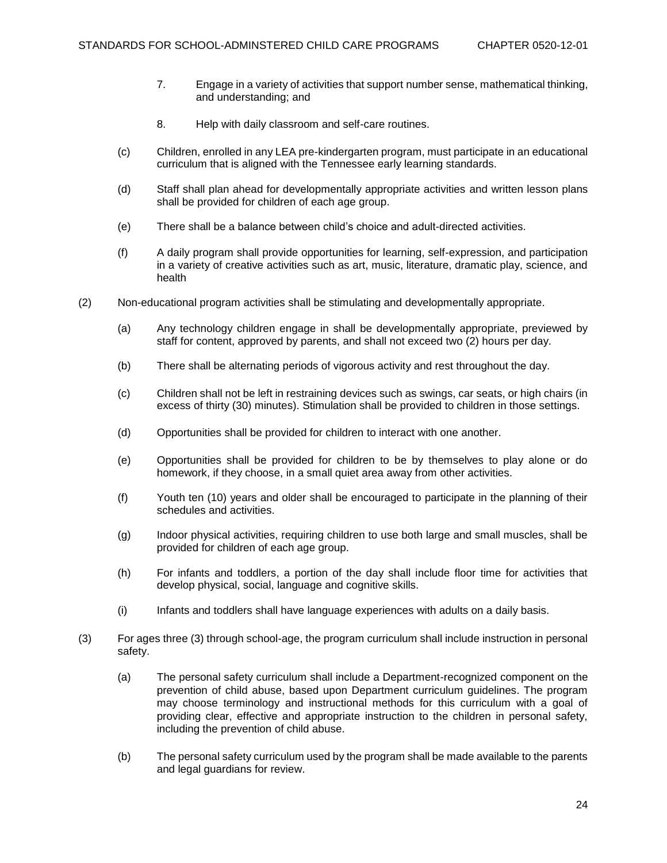- 7. Engage in a variety of activities that support number sense, mathematical thinking, and understanding; and
- 8. Help with daily classroom and self-care routines.
- (c) Children, enrolled in any LEA pre-kindergarten program, must participate in an educational curriculum that is aligned with the Tennessee early learning standards.
- (d) Staff shall plan ahead for developmentally appropriate activities and written lesson plans shall be provided for children of each age group.
- (e) There shall be a balance between child's choice and adult-directed activities.
- (f) A daily program shall provide opportunities for learning, self-expression, and participation in a variety of creative activities such as art, music, literature, dramatic play, science, and health
- (2) Non-educational program activities shall be stimulating and developmentally appropriate.
	- (a) Any technology children engage in shall be developmentally appropriate, previewed by staff for content, approved by parents, and shall not exceed two (2) hours per day.
	- (b) There shall be alternating periods of vigorous activity and rest throughout the day.
	- (c) Children shall not be left in restraining devices such as swings, car seats, or high chairs (in excess of thirty (30) minutes). Stimulation shall be provided to children in those settings.
	- (d) Opportunities shall be provided for children to interact with one another.
	- (e) Opportunities shall be provided for children to be by themselves to play alone or do homework, if they choose, in a small quiet area away from other activities.
	- (f) Youth ten (10) years and older shall be encouraged to participate in the planning of their schedules and activities.
	- (g) Indoor physical activities, requiring children to use both large and small muscles, shall be provided for children of each age group.
	- (h) For infants and toddlers, a portion of the day shall include floor time for activities that develop physical, social, language and cognitive skills.
	- (i) Infants and toddlers shall have language experiences with adults on a daily basis.
- (3) For ages three (3) through school-age, the program curriculum shall include instruction in personal safety.
	- (a) The personal safety curriculum shall include a Department-recognized component on the prevention of child abuse, based upon Department curriculum guidelines. The program may choose terminology and instructional methods for this curriculum with a goal of providing clear, effective and appropriate instruction to the children in personal safety, including the prevention of child abuse.
	- (b) The personal safety curriculum used by the program shall be made available to the parents and legal guardians for review.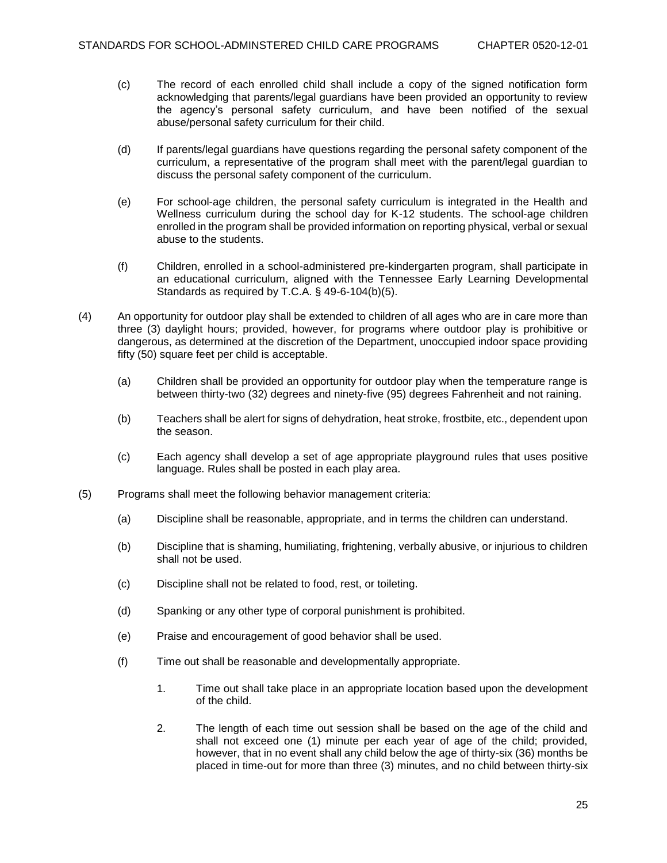- (c) The record of each enrolled child shall include a copy of the signed notification form acknowledging that parents/legal guardians have been provided an opportunity to review the agency's personal safety curriculum, and have been notified of the sexual abuse/personal safety curriculum for their child.
- (d) If parents/legal guardians have questions regarding the personal safety component of the curriculum, a representative of the program shall meet with the parent/legal guardian to discuss the personal safety component of the curriculum.
- (e) For school-age children, the personal safety curriculum is integrated in the Health and Wellness curriculum during the school day for K-12 students. The school-age children enrolled in the program shall be provided information on reporting physical, verbal or sexual abuse to the students.
- (f) Children, enrolled in a school-administered pre-kindergarten program, shall participate in an educational curriculum, aligned with the Tennessee Early Learning Developmental Standards as required by T.C.A. § 49-6-104(b)(5).
- (4) An opportunity for outdoor play shall be extended to children of all ages who are in care more than three (3) daylight hours; provided, however, for programs where outdoor play is prohibitive or dangerous, as determined at the discretion of the Department, unoccupied indoor space providing fifty (50) square feet per child is acceptable.
	- (a) Children shall be provided an opportunity for outdoor play when the temperature range is between thirty-two (32) degrees and ninety-five (95) degrees Fahrenheit and not raining.
	- (b) Teachers shall be alert for signs of dehydration, heat stroke, frostbite, etc., dependent upon the season.
	- (c) Each agency shall develop a set of age appropriate playground rules that uses positive language. Rules shall be posted in each play area.
- (5) Programs shall meet the following behavior management criteria:
	- (a) Discipline shall be reasonable, appropriate, and in terms the children can understand.
	- (b) Discipline that is shaming, humiliating, frightening, verbally abusive, or injurious to children shall not be used.
	- (c) Discipline shall not be related to food, rest, or toileting.
	- (d) Spanking or any other type of corporal punishment is prohibited.
	- (e) Praise and encouragement of good behavior shall be used.
	- (f) Time out shall be reasonable and developmentally appropriate.
		- 1. Time out shall take place in an appropriate location based upon the development of the child.
		- 2. The length of each time out session shall be based on the age of the child and shall not exceed one (1) minute per each year of age of the child; provided, however, that in no event shall any child below the age of thirty-six (36) months be placed in time-out for more than three (3) minutes, and no child between thirty-six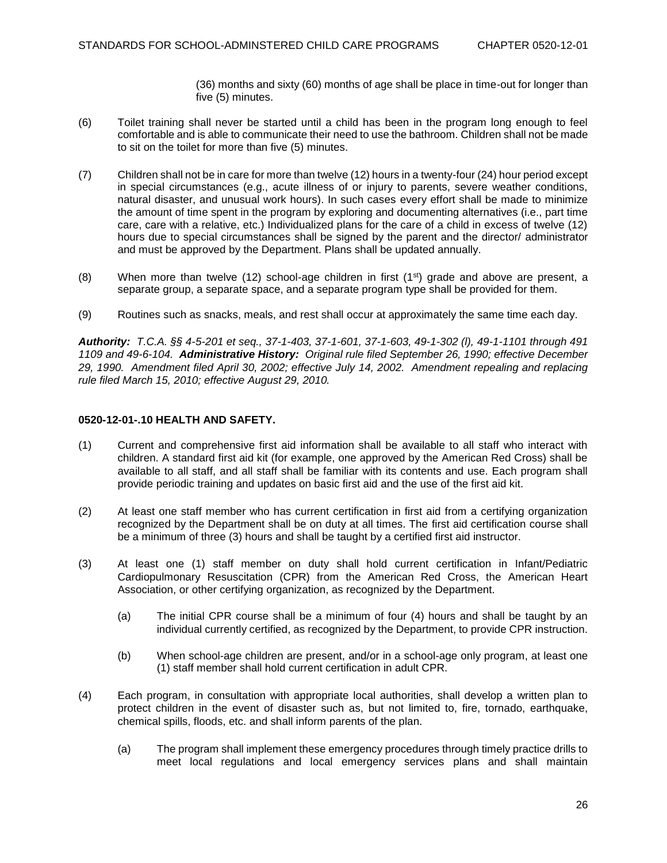(36) months and sixty (60) months of age shall be place in time-out for longer than five (5) minutes.

- (6) Toilet training shall never be started until a child has been in the program long enough to feel comfortable and is able to communicate their need to use the bathroom. Children shall not be made to sit on the toilet for more than five (5) minutes.
- (7) Children shall not be in care for more than twelve (12) hours in a twenty-four (24) hour period except in special circumstances (e.g., acute illness of or injury to parents, severe weather conditions, natural disaster, and unusual work hours). In such cases every effort shall be made to minimize the amount of time spent in the program by exploring and documenting alternatives (i.e., part time care, care with a relative, etc.) Individualized plans for the care of a child in excess of twelve (12) hours due to special circumstances shall be signed by the parent and the director/ administrator and must be approved by the Department. Plans shall be updated annually.
- (8) When more than twelve (12) school-age children in first (1<sup>st</sup>) grade and above are present, a separate group, a separate space, and a separate program type shall be provided for them.
- (9) Routines such as snacks, meals, and rest shall occur at approximately the same time each day.

*Authority: T.C.A. §§ 4-5-201 et seq., 37-1-403, 37-1-601, 37-1-603, 49-1-302 (l), 49-1-1101 through 491 1109 and 49-6-104. Administrative History: Original rule filed September 26, 1990; effective December 29, 1990. Amendment filed April 30, 2002; effective July 14, 2002. Amendment repealing and replacing rule filed March 15, 2010; effective August 29, 2010.*

## **0520-12-01-.10 HEALTH AND SAFETY.**

- (1) Current and comprehensive first aid information shall be available to all staff who interact with children. A standard first aid kit (for example, one approved by the American Red Cross) shall be available to all staff, and all staff shall be familiar with its contents and use. Each program shall provide periodic training and updates on basic first aid and the use of the first aid kit.
- (2) At least one staff member who has current certification in first aid from a certifying organization recognized by the Department shall be on duty at all times. The first aid certification course shall be a minimum of three (3) hours and shall be taught by a certified first aid instructor.
- (3) At least one (1) staff member on duty shall hold current certification in Infant/Pediatric Cardiopulmonary Resuscitation (CPR) from the American Red Cross, the American Heart Association, or other certifying organization, as recognized by the Department.
	- (a) The initial CPR course shall be a minimum of four (4) hours and shall be taught by an individual currently certified, as recognized by the Department, to provide CPR instruction.
	- (b) When school-age children are present, and/or in a school-age only program, at least one (1) staff member shall hold current certification in adult CPR.
- (4) Each program, in consultation with appropriate local authorities, shall develop a written plan to protect children in the event of disaster such as, but not limited to, fire, tornado, earthquake, chemical spills, floods, etc. and shall inform parents of the plan.
	- (a) The program shall implement these emergency procedures through timely practice drills to meet local regulations and local emergency services plans and shall maintain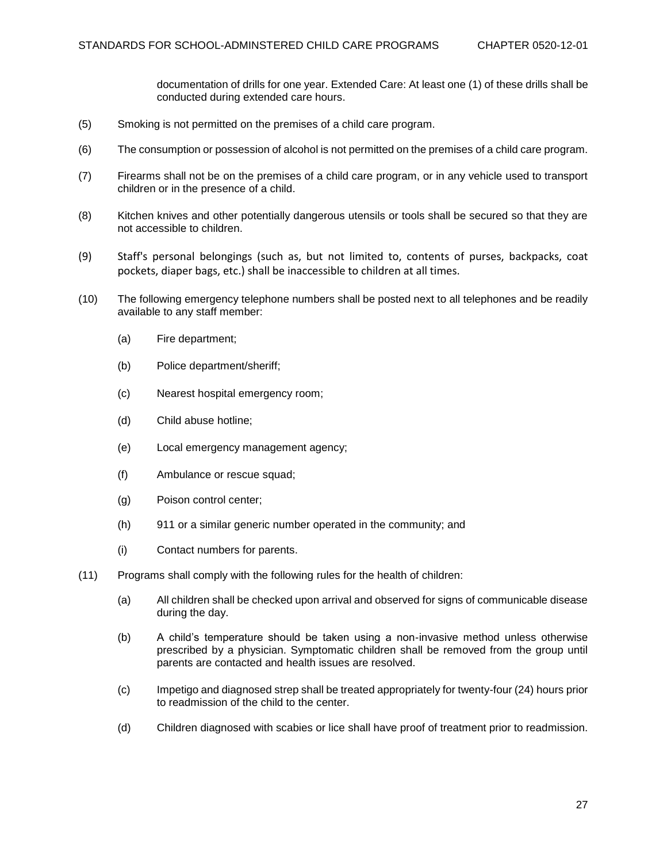documentation of drills for one year. Extended Care: At least one (1) of these drills shall be conducted during extended care hours.

- (5) Smoking is not permitted on the premises of a child care program.
- (6) The consumption or possession of alcohol is not permitted on the premises of a child care program.
- (7) Firearms shall not be on the premises of a child care program, or in any vehicle used to transport children or in the presence of a child.
- (8) Kitchen knives and other potentially dangerous utensils or tools shall be secured so that they are not accessible to children.
- (9) Staff's personal belongings (such as, but not limited to, contents of purses, backpacks, coat pockets, diaper bags, etc.) shall be inaccessible to children at all times.
- (10) The following emergency telephone numbers shall be posted next to all telephones and be readily available to any staff member:
	- (a) Fire department;
	- (b) Police department/sheriff;
	- (c) Nearest hospital emergency room;
	- (d) Child abuse hotline;
	- (e) Local emergency management agency;
	- (f) Ambulance or rescue squad;
	- (g) Poison control center;
	- (h) 911 or a similar generic number operated in the community; and
	- (i) Contact numbers for parents.
- (11) Programs shall comply with the following rules for the health of children:
	- (a) All children shall be checked upon arrival and observed for signs of communicable disease during the day.
	- (b) A child's temperature should be taken using a non-invasive method unless otherwise prescribed by a physician. Symptomatic children shall be removed from the group until parents are contacted and health issues are resolved.
	- (c) Impetigo and diagnosed strep shall be treated appropriately for twenty-four (24) hours prior to readmission of the child to the center.
	- (d) Children diagnosed with scabies or lice shall have proof of treatment prior to readmission.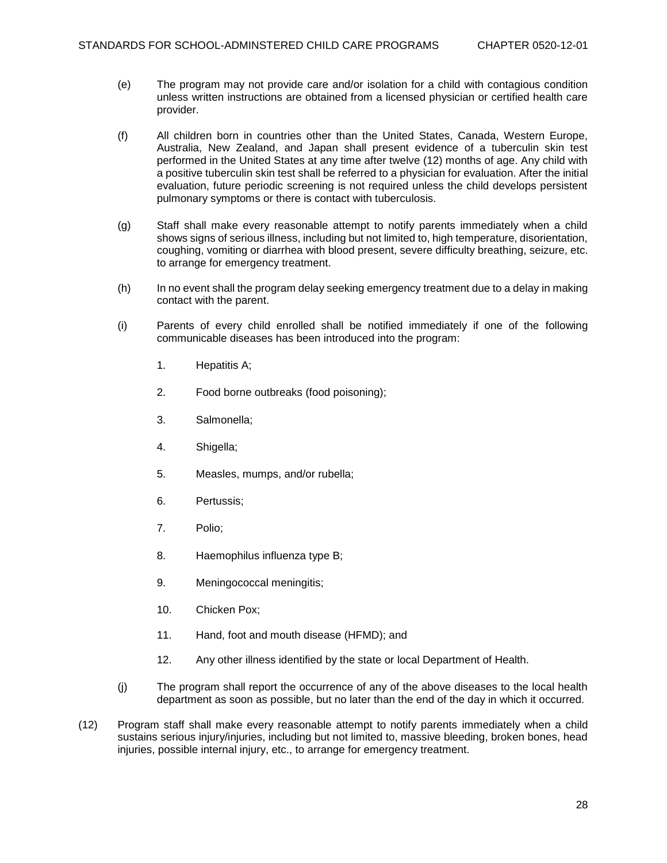- (e) The program may not provide care and/or isolation for a child with contagious condition unless written instructions are obtained from a licensed physician or certified health care provider.
- (f) All children born in countries other than the United States, Canada, Western Europe, Australia, New Zealand, and Japan shall present evidence of a tuberculin skin test performed in the United States at any time after twelve (12) months of age. Any child with a positive tuberculin skin test shall be referred to a physician for evaluation. After the initial evaluation, future periodic screening is not required unless the child develops persistent pulmonary symptoms or there is contact with tuberculosis.
- (g) Staff shall make every reasonable attempt to notify parents immediately when a child shows signs of serious illness, including but not limited to, high temperature, disorientation, coughing, vomiting or diarrhea with blood present, severe difficulty breathing, seizure, etc. to arrange for emergency treatment.
- (h) In no event shall the program delay seeking emergency treatment due to a delay in making contact with the parent.
- (i) Parents of every child enrolled shall be notified immediately if one of the following communicable diseases has been introduced into the program:
	- 1. Hepatitis A;
	- 2. Food borne outbreaks (food poisoning);
	- 3. Salmonella;
	- 4. Shigella;
	- 5. Measles, mumps, and/or rubella;
	- 6. Pertussis;
	- 7. Polio;
	- 8. Haemophilus influenza type B;
	- 9. Meningococcal meningitis;
	- 10. Chicken Pox;
	- 11. Hand, foot and mouth disease (HFMD); and
	- 12. Any other illness identified by the state or local Department of Health.
- (j) The program shall report the occurrence of any of the above diseases to the local health department as soon as possible, but no later than the end of the day in which it occurred.
- (12) Program staff shall make every reasonable attempt to notify parents immediately when a child sustains serious injury/injuries, including but not limited to, massive bleeding, broken bones, head injuries, possible internal injury, etc., to arrange for emergency treatment.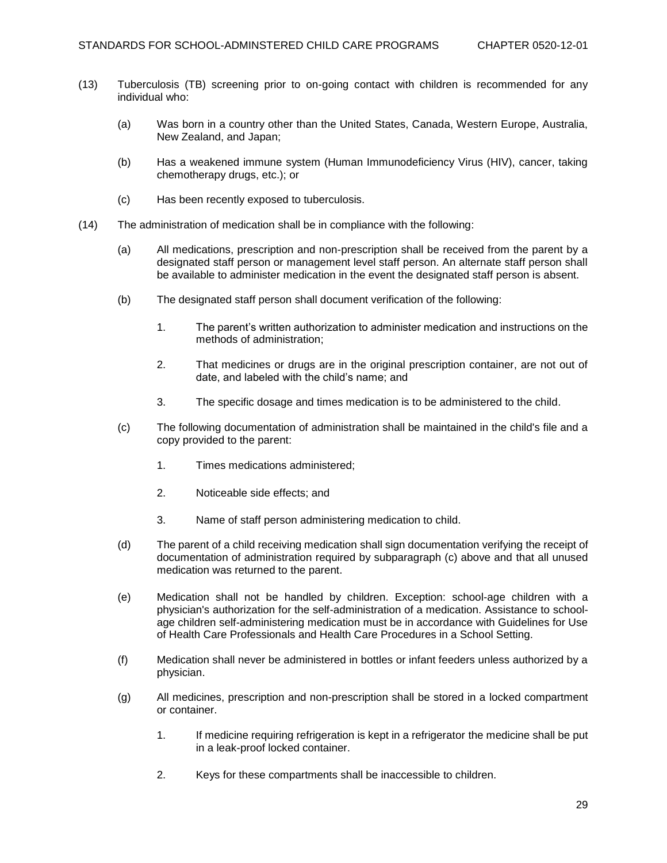- (13) Tuberculosis (TB) screening prior to on-going contact with children is recommended for any individual who:
	- (a) Was born in a country other than the United States, Canada, Western Europe, Australia, New Zealand, and Japan;
	- (b) Has a weakened immune system (Human Immunodeficiency Virus (HIV), cancer, taking chemotherapy drugs, etc.); or
	- (c) Has been recently exposed to tuberculosis.
- (14) The administration of medication shall be in compliance with the following:
	- (a) All medications, prescription and non-prescription shall be received from the parent by a designated staff person or management level staff person. An alternate staff person shall be available to administer medication in the event the designated staff person is absent.
	- (b) The designated staff person shall document verification of the following:
		- 1. The parent's written authorization to administer medication and instructions on the methods of administration;
		- 2. That medicines or drugs are in the original prescription container, are not out of date, and labeled with the child's name; and
		- 3. The specific dosage and times medication is to be administered to the child.
	- (c) The following documentation of administration shall be maintained in the child's file and a copy provided to the parent:
		- 1. Times medications administered;
		- 2. Noticeable side effects; and
		- 3. Name of staff person administering medication to child.
	- (d) The parent of a child receiving medication shall sign documentation verifying the receipt of documentation of administration required by subparagraph (c) above and that all unused medication was returned to the parent.
	- (e) Medication shall not be handled by children. Exception: school-age children with a physician's authorization for the self-administration of a medication. Assistance to schoolage children self-administering medication must be in accordance with Guidelines for Use of Health Care Professionals and Health Care Procedures in a School Setting.
	- (f) Medication shall never be administered in bottles or infant feeders unless authorized by a physician.
	- (g) All medicines, prescription and non-prescription shall be stored in a locked compartment or container.
		- 1. If medicine requiring refrigeration is kept in a refrigerator the medicine shall be put in a leak-proof locked container.
		- 2. Keys for these compartments shall be inaccessible to children.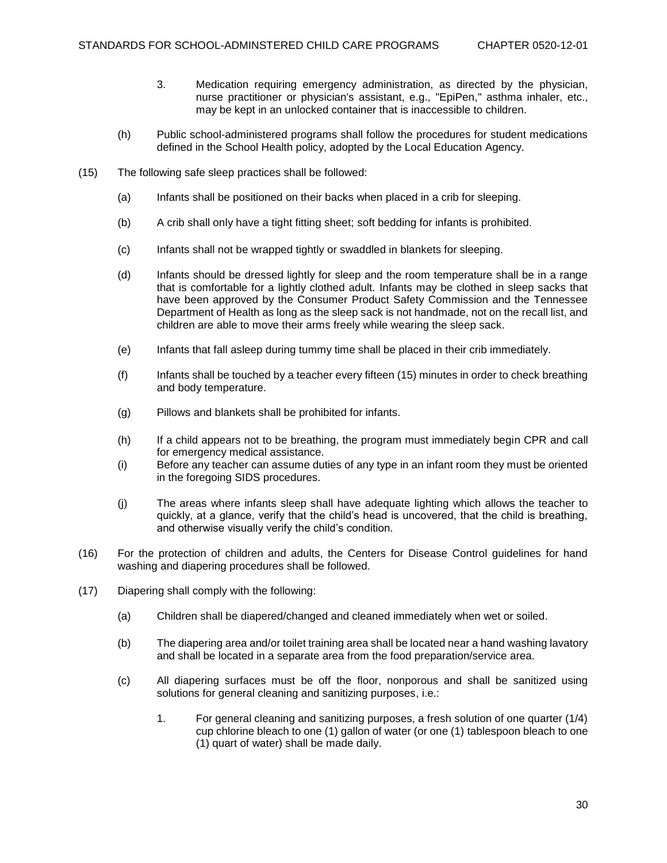- 3. Medication requiring emergency administration, as directed by the physician, nurse practitioner or physician's assistant, e.g., "EpiPen," asthma inhaler, etc., may be kept in an unlocked container that is inaccessible to children.
- (h) Public school-administered programs shall follow the procedures for student medications defined in the School Health policy, adopted by the Local Education Agency.
- (15) The following safe sleep practices shall be followed:
	- (a) Infants shall be positioned on their backs when placed in a crib for sleeping.
	- (b) A crib shall only have a tight fitting sheet; soft bedding for infants is prohibited.
	- (c) Infants shall not be wrapped tightly or swaddled in blankets for sleeping.
	- (d) Infants should be dressed lightly for sleep and the room temperature shall be in a range that is comfortable for a lightly clothed adult. Infants may be clothed in sleep sacks that have been approved by the Consumer Product Safety Commission and the Tennessee Department of Health as long as the sleep sack is not handmade, not on the recall list, and children are able to move their arms freely while wearing the sleep sack.
	- (e) Infants that fall asleep during tummy time shall be placed in their crib immediately.
	- (f) Infants shall be touched by a teacher every fifteen (15) minutes in order to check breathing and body temperature.
	- (g) Pillows and blankets shall be prohibited for infants.
	- (h) If a child appears not to be breathing, the program must immediately begin CPR and call for emergency medical assistance.
	- (i) Before any teacher can assume duties of any type in an infant room they must be oriented in the foregoing SIDS procedures.
	- (j) The areas where infants sleep shall have adequate lighting which allows the teacher to quickly, at a glance, verify that the child's head is uncovered, that the child is breathing, and otherwise visually verify the child's condition.
- (16) For the protection of children and adults, the Centers for Disease Control guidelines for hand washing and diapering procedures shall be followed.
- (17) Diapering shall comply with the following:
	- (a) Children shall be diapered/changed and cleaned immediately when wet or soiled.
	- (b) The diapering area and/or toilet training area shall be located near a hand washing lavatory and shall be located in a separate area from the food preparation/service area.
	- (c) All diapering surfaces must be off the floor, nonporous and shall be sanitized using solutions for general cleaning and sanitizing purposes, i.e.:
		- 1. For general cleaning and sanitizing purposes, a fresh solution of one quarter (1/4) cup chlorine bleach to one (1) gallon of water (or one (1) tablespoon bleach to one (1) quart of water) shall be made daily.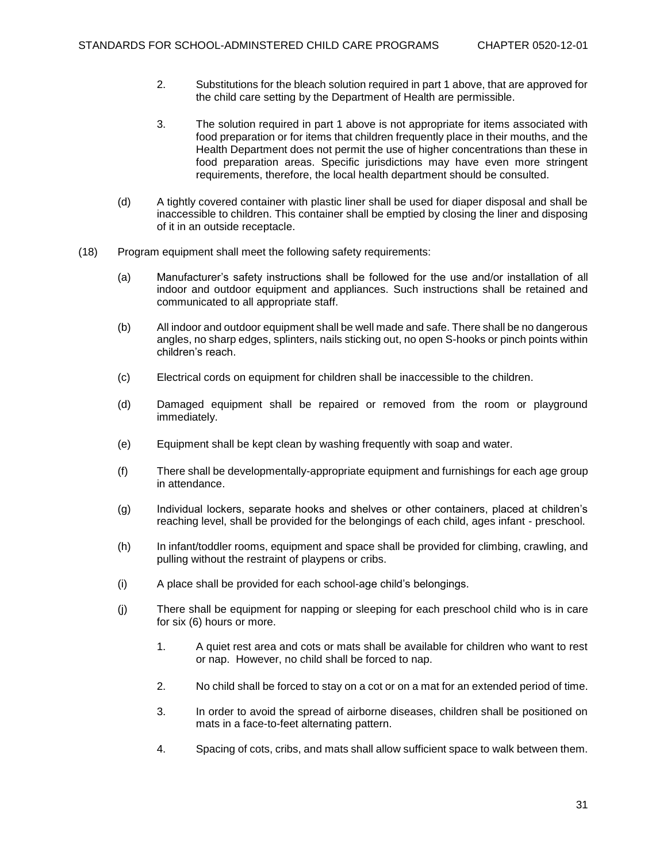- 2. Substitutions for the bleach solution required in part 1 above, that are approved for the child care setting by the Department of Health are permissible.
- 3. The solution required in part 1 above is not appropriate for items associated with food preparation or for items that children frequently place in their mouths, and the Health Department does not permit the use of higher concentrations than these in food preparation areas. Specific jurisdictions may have even more stringent requirements, therefore, the local health department should be consulted.
- (d) A tightly covered container with plastic liner shall be used for diaper disposal and shall be inaccessible to children. This container shall be emptied by closing the liner and disposing of it in an outside receptacle.
- (18) Program equipment shall meet the following safety requirements:
	- (a) Manufacturer's safety instructions shall be followed for the use and/or installation of all indoor and outdoor equipment and appliances. Such instructions shall be retained and communicated to all appropriate staff.
	- (b) All indoor and outdoor equipment shall be well made and safe. There shall be no dangerous angles, no sharp edges, splinters, nails sticking out, no open S-hooks or pinch points within children's reach.
	- (c) Electrical cords on equipment for children shall be inaccessible to the children.
	- (d) Damaged equipment shall be repaired or removed from the room or playground immediately.
	- (e) Equipment shall be kept clean by washing frequently with soap and water.
	- (f) There shall be developmentally-appropriate equipment and furnishings for each age group in attendance.
	- (g) Individual lockers, separate hooks and shelves or other containers, placed at children's reaching level, shall be provided for the belongings of each child, ages infant - preschool.
	- (h) In infant/toddler rooms, equipment and space shall be provided for climbing, crawling, and pulling without the restraint of playpens or cribs.
	- (i) A place shall be provided for each school-age child's belongings.
	- (j) There shall be equipment for napping or sleeping for each preschool child who is in care for six (6) hours or more.
		- 1. A quiet rest area and cots or mats shall be available for children who want to rest or nap. However, no child shall be forced to nap.
		- 2. No child shall be forced to stay on a cot or on a mat for an extended period of time.
		- 3. In order to avoid the spread of airborne diseases, children shall be positioned on mats in a face-to-feet alternating pattern.
		- 4. Spacing of cots, cribs, and mats shall allow sufficient space to walk between them.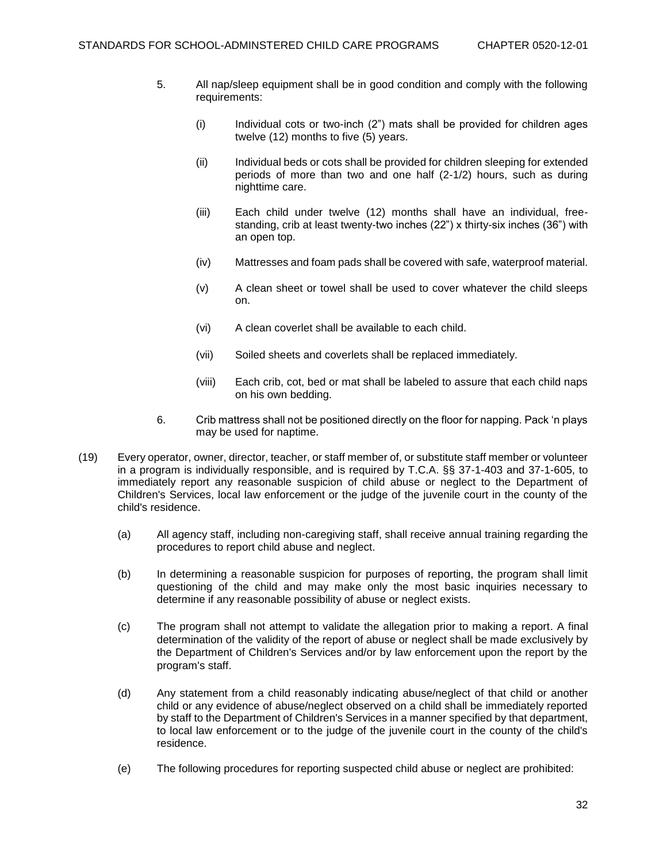- 5. All nap/sleep equipment shall be in good condition and comply with the following requirements:
	- (i) Individual cots or two-inch (2") mats shall be provided for children ages twelve (12) months to five (5) years.
	- (ii) Individual beds or cots shall be provided for children sleeping for extended periods of more than two and one half (2-1/2) hours, such as during nighttime care.
	- (iii) Each child under twelve (12) months shall have an individual, freestanding, crib at least twenty-two inches (22") x thirty-six inches (36") with an open top.
	- (iv) Mattresses and foam pads shall be covered with safe, waterproof material.
	- (v) A clean sheet or towel shall be used to cover whatever the child sleeps on.
	- (vi) A clean coverlet shall be available to each child.
	- (vii) Soiled sheets and coverlets shall be replaced immediately.
	- (viii) Each crib, cot, bed or mat shall be labeled to assure that each child naps on his own bedding.
- 6. Crib mattress shall not be positioned directly on the floor for napping. Pack 'n plays may be used for naptime.
- (19) Every operator, owner, director, teacher, or staff member of, or substitute staff member or volunteer in a program is individually responsible, and is required by T.C.A. §§ 37-1-403 and 37-1-605, to immediately report any reasonable suspicion of child abuse or neglect to the Department of Children's Services, local law enforcement or the judge of the juvenile court in the county of the child's residence.
	- (a) All agency staff, including non-caregiving staff, shall receive annual training regarding the procedures to report child abuse and neglect.
	- (b) In determining a reasonable suspicion for purposes of reporting, the program shall limit questioning of the child and may make only the most basic inquiries necessary to determine if any reasonable possibility of abuse or neglect exists.
	- (c) The program shall not attempt to validate the allegation prior to making a report. A final determination of the validity of the report of abuse or neglect shall be made exclusively by the Department of Children's Services and/or by law enforcement upon the report by the program's staff.
	- (d) Any statement from a child reasonably indicating abuse/neglect of that child or another child or any evidence of abuse/neglect observed on a child shall be immediately reported by staff to the Department of Children's Services in a manner specified by that department, to local law enforcement or to the judge of the juvenile court in the county of the child's residence.
	- (e) The following procedures for reporting suspected child abuse or neglect are prohibited: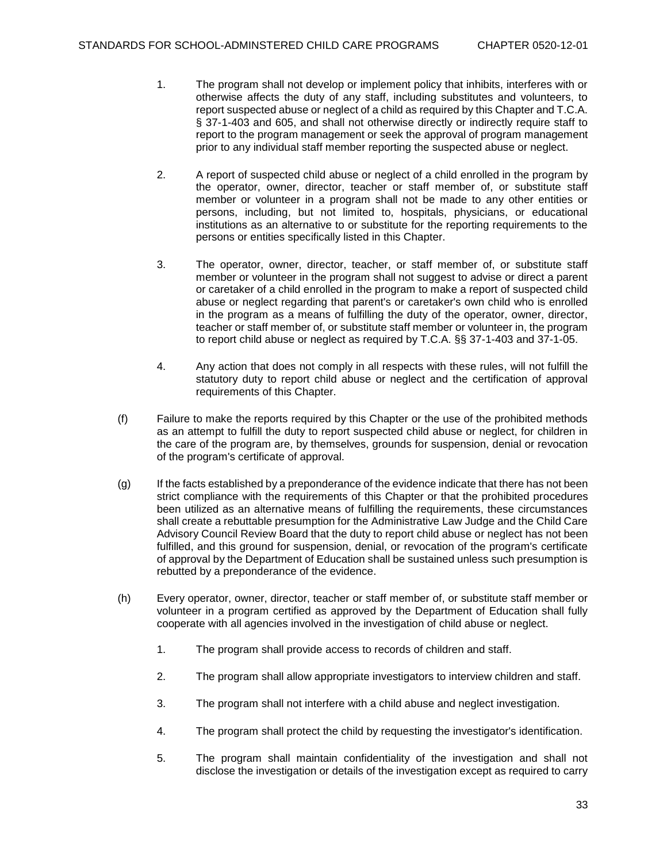- 1. The program shall not develop or implement policy that inhibits, interferes with or otherwise affects the duty of any staff, including substitutes and volunteers, to report suspected abuse or neglect of a child as required by this Chapter and T.C.A. § 37-1-403 and 605, and shall not otherwise directly or indirectly require staff to report to the program management or seek the approval of program management prior to any individual staff member reporting the suspected abuse or neglect.
- 2. A report of suspected child abuse or neglect of a child enrolled in the program by the operator, owner, director, teacher or staff member of, or substitute staff member or volunteer in a program shall not be made to any other entities or persons, including, but not limited to, hospitals, physicians, or educational institutions as an alternative to or substitute for the reporting requirements to the persons or entities specifically listed in this Chapter.
- 3. The operator, owner, director, teacher, or staff member of, or substitute staff member or volunteer in the program shall not suggest to advise or direct a parent or caretaker of a child enrolled in the program to make a report of suspected child abuse or neglect regarding that parent's or caretaker's own child who is enrolled in the program as a means of fulfilling the duty of the operator, owner, director, teacher or staff member of, or substitute staff member or volunteer in, the program to report child abuse or neglect as required by T.C.A. §§ 37-1-403 and 37-1-05.
- 4. Any action that does not comply in all respects with these rules, will not fulfill the statutory duty to report child abuse or neglect and the certification of approval requirements of this Chapter.
- (f) Failure to make the reports required by this Chapter or the use of the prohibited methods as an attempt to fulfill the duty to report suspected child abuse or neglect, for children in the care of the program are, by themselves, grounds for suspension, denial or revocation of the program's certificate of approval.
- (g) If the facts established by a preponderance of the evidence indicate that there has not been strict compliance with the requirements of this Chapter or that the prohibited procedures been utilized as an alternative means of fulfilling the requirements, these circumstances shall create a rebuttable presumption for the Administrative Law Judge and the Child Care Advisory Council Review Board that the duty to report child abuse or neglect has not been fulfilled, and this ground for suspension, denial, or revocation of the program's certificate of approval by the Department of Education shall be sustained unless such presumption is rebutted by a preponderance of the evidence.
- (h) Every operator, owner, director, teacher or staff member of, or substitute staff member or volunteer in a program certified as approved by the Department of Education shall fully cooperate with all agencies involved in the investigation of child abuse or neglect.
	- 1. The program shall provide access to records of children and staff.
	- 2. The program shall allow appropriate investigators to interview children and staff.
	- 3. The program shall not interfere with a child abuse and neglect investigation.
	- 4. The program shall protect the child by requesting the investigator's identification.
	- 5. The program shall maintain confidentiality of the investigation and shall not disclose the investigation or details of the investigation except as required to carry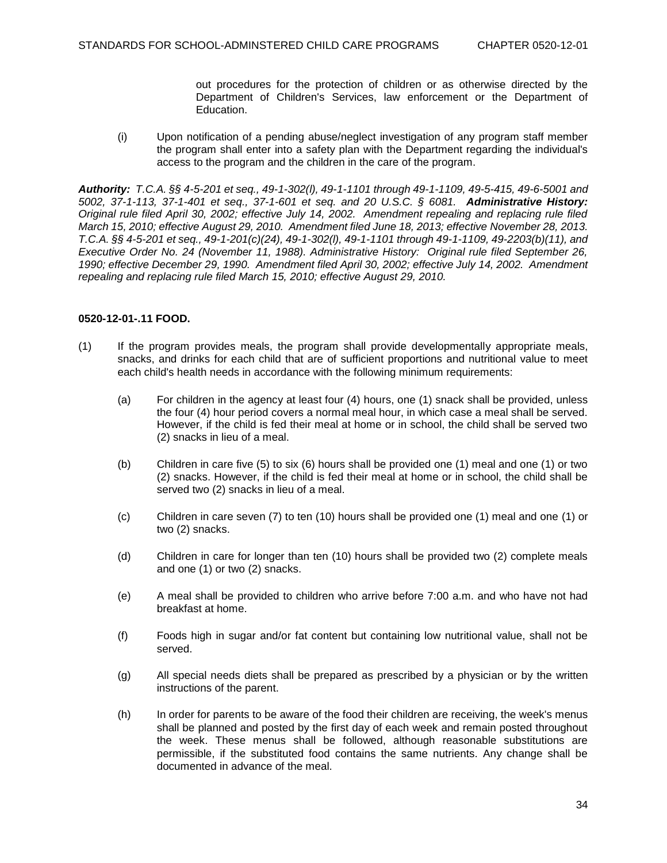out procedures for the protection of children or as otherwise directed by the Department of Children's Services, law enforcement or the Department of Education.

(i) Upon notification of a pending abuse/neglect investigation of any program staff member the program shall enter into a safety plan with the Department regarding the individual's access to the program and the children in the care of the program.

*Authority: T.C.A. §§ 4-5-201 et seq., 49-1-302(l), 49-1-1101 through 49-1-1109, 49-5-415, 49-6-5001 and 5002, 37-1-113, 37-1-401 et seq., 37-1-601 et seq. and 20 U.S.C. § 6081. Administrative History: Original rule filed April 30, 2002; effective July 14, 2002. Amendment repealing and replacing rule filed March 15, 2010; effective August 29, 2010. Amendment filed June 18, 2013; effective November 28, 2013. T.C.A. §§ 4-5-201 et seq., 49-1-201(c)(24), 49-1-302(l), 49-1-1101 through 49-1-1109, 49-2203(b)(11), and Executive Order No. 24 (November 11, 1988). Administrative History: Original rule filed September 26, 1990; effective December 29, 1990. Amendment filed April 30, 2002; effective July 14, 2002. Amendment repealing and replacing rule filed March 15, 2010; effective August 29, 2010.*

## **0520-12-01-.11 FOOD.**

- (1) If the program provides meals, the program shall provide developmentally appropriate meals, snacks, and drinks for each child that are of sufficient proportions and nutritional value to meet each child's health needs in accordance with the following minimum requirements:
	- (a) For children in the agency at least four (4) hours, one (1) snack shall be provided, unless the four (4) hour period covers a normal meal hour, in which case a meal shall be served. However, if the child is fed their meal at home or in school, the child shall be served two (2) snacks in lieu of a meal.
	- (b) Children in care five (5) to six (6) hours shall be provided one (1) meal and one (1) or two (2) snacks. However, if the child is fed their meal at home or in school, the child shall be served two (2) snacks in lieu of a meal.
	- (c) Children in care seven (7) to ten (10) hours shall be provided one (1) meal and one (1) or two (2) snacks.
	- (d) Children in care for longer than ten (10) hours shall be provided two (2) complete meals and one (1) or two (2) snacks.
	- (e) A meal shall be provided to children who arrive before 7:00 a.m. and who have not had breakfast at home.
	- (f) Foods high in sugar and/or fat content but containing low nutritional value, shall not be served.
	- (g) All special needs diets shall be prepared as prescribed by a physician or by the written instructions of the parent.
	- (h) In order for parents to be aware of the food their children are receiving, the week's menus shall be planned and posted by the first day of each week and remain posted throughout the week. These menus shall be followed, although reasonable substitutions are permissible, if the substituted food contains the same nutrients. Any change shall be documented in advance of the meal.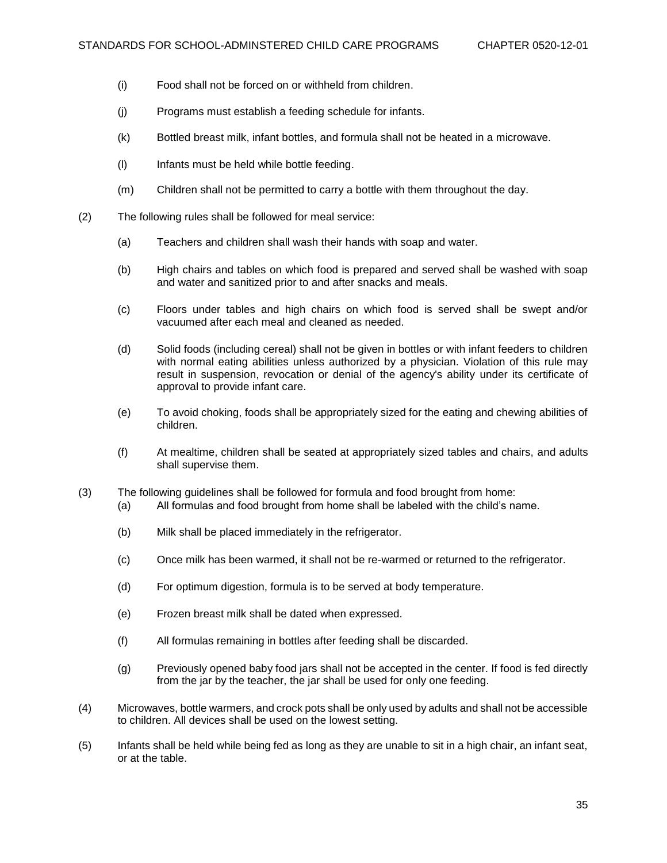- (i) Food shall not be forced on or withheld from children.
- (j) Programs must establish a feeding schedule for infants.
- (k) Bottled breast milk, infant bottles, and formula shall not be heated in a microwave.
- (l) Infants must be held while bottle feeding.
- (m) Children shall not be permitted to carry a bottle with them throughout the day.
- (2) The following rules shall be followed for meal service:
	- (a) Teachers and children shall wash their hands with soap and water.
	- (b) High chairs and tables on which food is prepared and served shall be washed with soap and water and sanitized prior to and after snacks and meals.
	- (c) Floors under tables and high chairs on which food is served shall be swept and/or vacuumed after each meal and cleaned as needed.
	- (d) Solid foods (including cereal) shall not be given in bottles or with infant feeders to children with normal eating abilities unless authorized by a physician. Violation of this rule may result in suspension, revocation or denial of the agency's ability under its certificate of approval to provide infant care.
	- (e) To avoid choking, foods shall be appropriately sized for the eating and chewing abilities of children.
	- (f) At mealtime, children shall be seated at appropriately sized tables and chairs, and adults shall supervise them.
- (3) The following guidelines shall be followed for formula and food brought from home:
	- (a) All formulas and food brought from home shall be labeled with the child's name.
	- (b) Milk shall be placed immediately in the refrigerator.
	- (c) Once milk has been warmed, it shall not be re-warmed or returned to the refrigerator.
	- (d) For optimum digestion, formula is to be served at body temperature.
	- (e) Frozen breast milk shall be dated when expressed.
	- (f) All formulas remaining in bottles after feeding shall be discarded.
	- (g) Previously opened baby food jars shall not be accepted in the center. If food is fed directly from the jar by the teacher, the jar shall be used for only one feeding.
- (4) Microwaves, bottle warmers, and crock pots shall be only used by adults and shall not be accessible to children. All devices shall be used on the lowest setting.
- (5) Infants shall be held while being fed as long as they are unable to sit in a high chair, an infant seat, or at the table.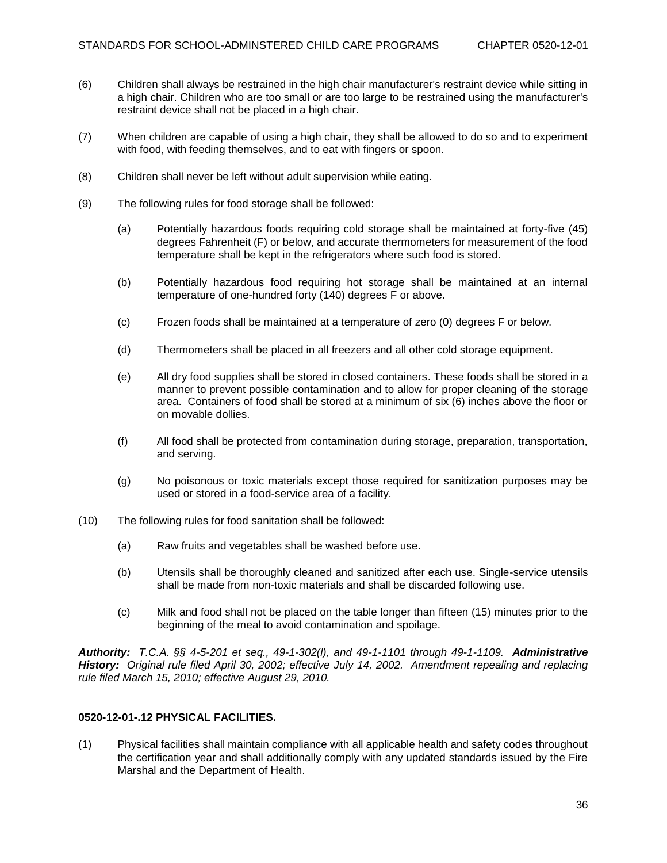- (6) Children shall always be restrained in the high chair manufacturer's restraint device while sitting in a high chair. Children who are too small or are too large to be restrained using the manufacturer's restraint device shall not be placed in a high chair.
- (7) When children are capable of using a high chair, they shall be allowed to do so and to experiment with food, with feeding themselves, and to eat with fingers or spoon.
- (8) Children shall never be left without adult supervision while eating.
- (9) The following rules for food storage shall be followed:
	- (a) Potentially hazardous foods requiring cold storage shall be maintained at forty-five (45) degrees Fahrenheit (F) or below, and accurate thermometers for measurement of the food temperature shall be kept in the refrigerators where such food is stored.
	- (b) Potentially hazardous food requiring hot storage shall be maintained at an internal temperature of one-hundred forty (140) degrees F or above.
	- (c) Frozen foods shall be maintained at a temperature of zero (0) degrees F or below.
	- (d) Thermometers shall be placed in all freezers and all other cold storage equipment.
	- (e) All dry food supplies shall be stored in closed containers. These foods shall be stored in a manner to prevent possible contamination and to allow for proper cleaning of the storage area. Containers of food shall be stored at a minimum of six (6) inches above the floor or on movable dollies.
	- (f) All food shall be protected from contamination during storage, preparation, transportation, and serving.
	- (g) No poisonous or toxic materials except those required for sanitization purposes may be used or stored in a food-service area of a facility.
- (10) The following rules for food sanitation shall be followed:
	- (a) Raw fruits and vegetables shall be washed before use.
	- (b) Utensils shall be thoroughly cleaned and sanitized after each use. Single-service utensils shall be made from non-toxic materials and shall be discarded following use.
	- (c) Milk and food shall not be placed on the table longer than fifteen (15) minutes prior to the beginning of the meal to avoid contamination and spoilage.

*Authority: T.C.A. §§ 4-5-201 et seq., 49-1-302(l), and 49-1-1101 through 49-1-1109. Administrative History: Original rule filed April 30, 2002; effective July 14, 2002. Amendment repealing and replacing rule filed March 15, 2010; effective August 29, 2010.* 

## **0520-12-01-.12 PHYSICAL FACILITIES.**

(1) Physical facilities shall maintain compliance with all applicable health and safety codes throughout the certification year and shall additionally comply with any updated standards issued by the Fire Marshal and the Department of Health.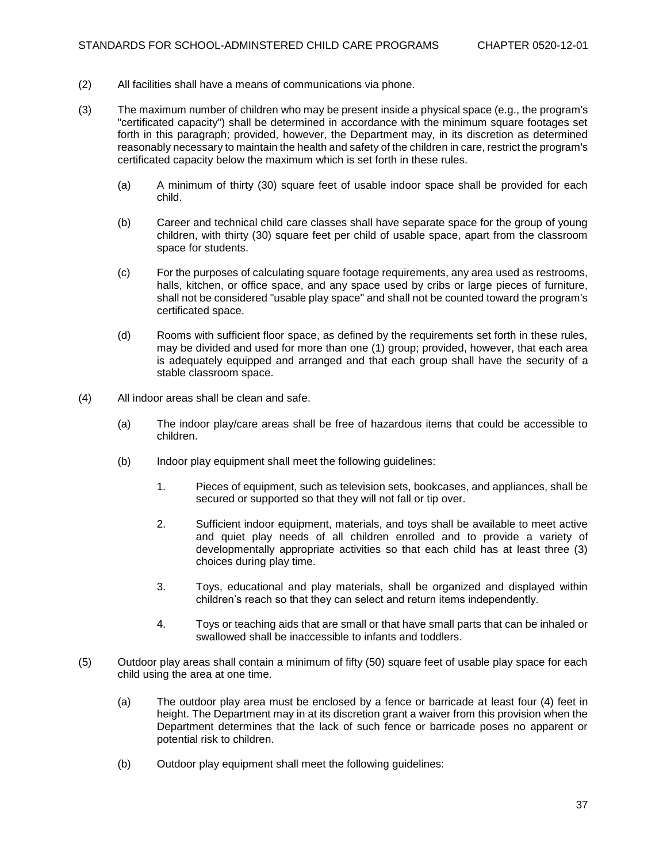- (2) All facilities shall have a means of communications via phone.
- (3) The maximum number of children who may be present inside a physical space (e.g., the program's "certificated capacity") shall be determined in accordance with the minimum square footages set forth in this paragraph; provided, however, the Department may, in its discretion as determined reasonably necessary to maintain the health and safety of the children in care, restrict the program's certificated capacity below the maximum which is set forth in these rules.
	- (a) A minimum of thirty (30) square feet of usable indoor space shall be provided for each child.
	- (b) Career and technical child care classes shall have separate space for the group of young children, with thirty (30) square feet per child of usable space, apart from the classroom space for students.
	- (c) For the purposes of calculating square footage requirements, any area used as restrooms, halls, kitchen, or office space, and any space used by cribs or large pieces of furniture, shall not be considered "usable play space" and shall not be counted toward the program's certificated space.
	- (d) Rooms with sufficient floor space, as defined by the requirements set forth in these rules, may be divided and used for more than one (1) group; provided, however, that each area is adequately equipped and arranged and that each group shall have the security of a stable classroom space.
- (4) All indoor areas shall be clean and safe.
	- (a) The indoor play/care areas shall be free of hazardous items that could be accessible to children.
	- (b) Indoor play equipment shall meet the following guidelines:
		- 1. Pieces of equipment, such as television sets, bookcases, and appliances, shall be secured or supported so that they will not fall or tip over.
		- 2. Sufficient indoor equipment, materials, and toys shall be available to meet active and quiet play needs of all children enrolled and to provide a variety of developmentally appropriate activities so that each child has at least three (3) choices during play time.
		- 3. Toys, educational and play materials, shall be organized and displayed within children's reach so that they can select and return items independently.
		- 4. Toys or teaching aids that are small or that have small parts that can be inhaled or swallowed shall be inaccessible to infants and toddlers.
- (5) Outdoor play areas shall contain a minimum of fifty (50) square feet of usable play space for each child using the area at one time.
	- (a) The outdoor play area must be enclosed by a fence or barricade at least four (4) feet in height. The Department may in at its discretion grant a waiver from this provision when the Department determines that the lack of such fence or barricade poses no apparent or potential risk to children.
	- (b) Outdoor play equipment shall meet the following guidelines: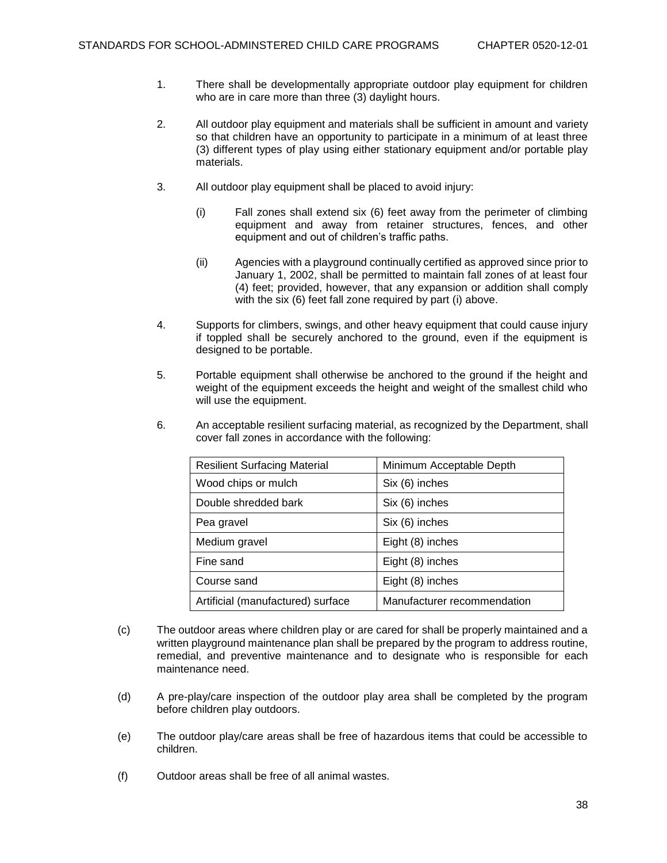- 1. There shall be developmentally appropriate outdoor play equipment for children who are in care more than three (3) daylight hours.
- 2. All outdoor play equipment and materials shall be sufficient in amount and variety so that children have an opportunity to participate in a minimum of at least three (3) different types of play using either stationary equipment and/or portable play materials.
- 3. All outdoor play equipment shall be placed to avoid injury:
	- (i) Fall zones shall extend six (6) feet away from the perimeter of climbing equipment and away from retainer structures, fences, and other equipment and out of children's traffic paths.
	- (ii) Agencies with a playground continually certified as approved since prior to January 1, 2002, shall be permitted to maintain fall zones of at least four (4) feet; provided, however, that any expansion or addition shall comply with the six (6) feet fall zone required by part (i) above.
- 4. Supports for climbers, swings, and other heavy equipment that could cause injury if toppled shall be securely anchored to the ground, even if the equipment is designed to be portable.
- 5. Portable equipment shall otherwise be anchored to the ground if the height and weight of the equipment exceeds the height and weight of the smallest child who will use the equipment.
- 6. An acceptable resilient surfacing material, as recognized by the Department, shall cover fall zones in accordance with the following:

| <b>Resilient Surfacing Material</b> | Minimum Acceptable Depth    |
|-------------------------------------|-----------------------------|
| Wood chips or mulch                 | Six (6) inches              |
| Double shredded bark                | Six (6) inches              |
| Pea gravel                          | Six (6) inches              |
| Medium gravel                       | Eight (8) inches            |
| Fine sand                           | Eight (8) inches            |
| Course sand                         | Eight (8) inches            |
| Artificial (manufactured) surface   | Manufacturer recommendation |

- (c) The outdoor areas where children play or are cared for shall be properly maintained and a written playground maintenance plan shall be prepared by the program to address routine, remedial, and preventive maintenance and to designate who is responsible for each maintenance need.
- (d) A pre-play/care inspection of the outdoor play area shall be completed by the program before children play outdoors.
- (e) The outdoor play/care areas shall be free of hazardous items that could be accessible to children.
- (f) Outdoor areas shall be free of all animal wastes.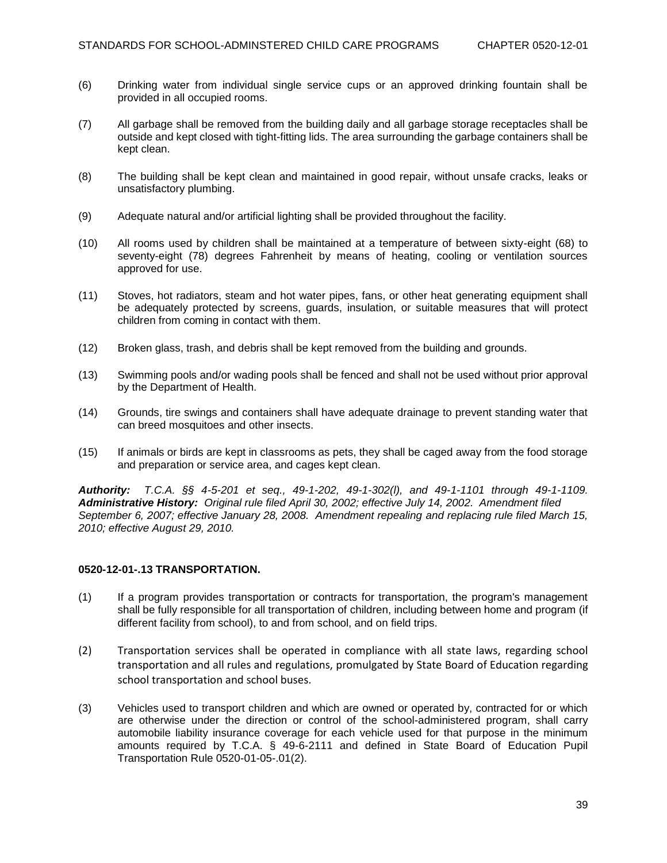- (6) Drinking water from individual single service cups or an approved drinking fountain shall be provided in all occupied rooms.
- (7) All garbage shall be removed from the building daily and all garbage storage receptacles shall be outside and kept closed with tight-fitting lids. The area surrounding the garbage containers shall be kept clean.
- (8) The building shall be kept clean and maintained in good repair, without unsafe cracks, leaks or unsatisfactory plumbing.
- (9) Adequate natural and/or artificial lighting shall be provided throughout the facility.
- (10) All rooms used by children shall be maintained at a temperature of between sixty-eight (68) to seventy-eight (78) degrees Fahrenheit by means of heating, cooling or ventilation sources approved for use.
- (11) Stoves, hot radiators, steam and hot water pipes, fans, or other heat generating equipment shall be adequately protected by screens, guards, insulation, or suitable measures that will protect children from coming in contact with them.
- (12) Broken glass, trash, and debris shall be kept removed from the building and grounds.
- (13) Swimming pools and/or wading pools shall be fenced and shall not be used without prior approval by the Department of Health.
- (14) Grounds, tire swings and containers shall have adequate drainage to prevent standing water that can breed mosquitoes and other insects.
- (15) If animals or birds are kept in classrooms as pets, they shall be caged away from the food storage and preparation or service area, and cages kept clean.

*Authority: T.C.A. §§ 4-5-201 et seq., 49-1-202, 49-1-302(l), and 49-1-1101 through 49-1-1109. Administrative History: Original rule filed April 30, 2002; effective July 14, 2002. Amendment filed September 6, 2007; effective January 28, 2008. Amendment repealing and replacing rule filed March 15, 2010; effective August 29, 2010.* 

## **0520-12-01-.13 TRANSPORTATION.**

- (1) If a program provides transportation or contracts for transportation, the program's management shall be fully responsible for all transportation of children, including between home and program (if different facility from school), to and from school, and on field trips.
- (2) Transportation services shall be operated in compliance with all state laws, regarding school transportation and all rules and regulations, promulgated by State Board of Education regarding school transportation and school buses.
- (3) Vehicles used to transport children and which are owned or operated by, contracted for or which are otherwise under the direction or control of the school-administered program, shall carry automobile liability insurance coverage for each vehicle used for that purpose in the minimum amounts required by T.C.A. § 49-6-2111 and defined in State Board of Education Pupil Transportation Rule 0520-01-05-.01(2).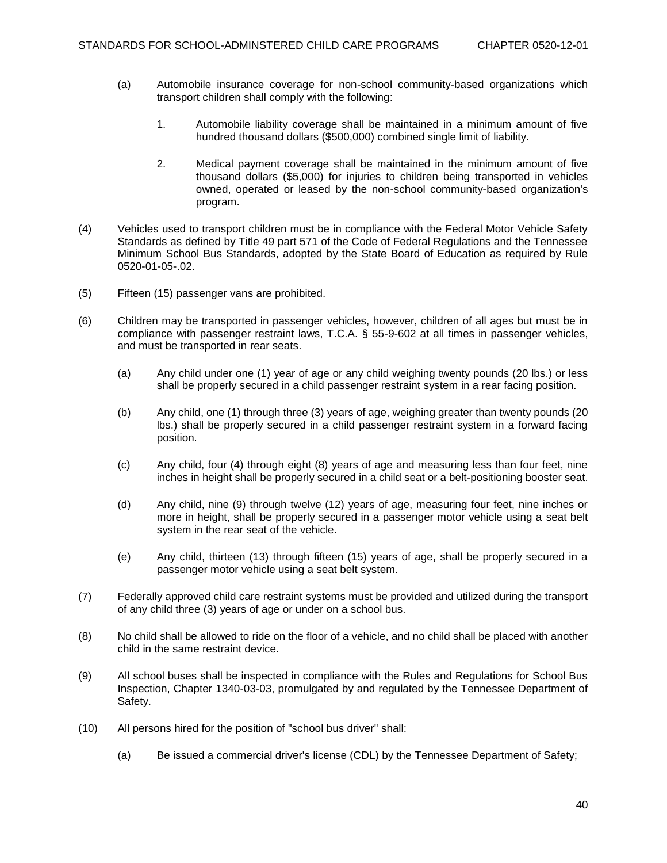- (a) Automobile insurance coverage for non-school community-based organizations which transport children shall comply with the following:
	- 1. Automobile liability coverage shall be maintained in a minimum amount of five hundred thousand dollars (\$500,000) combined single limit of liability.
	- 2. Medical payment coverage shall be maintained in the minimum amount of five thousand dollars (\$5,000) for injuries to children being transported in vehicles owned, operated or leased by the non-school community-based organization's program.
- (4) Vehicles used to transport children must be in compliance with the Federal Motor Vehicle Safety Standards as defined by Title 49 part 571 of the Code of Federal Regulations and the Tennessee Minimum School Bus Standards, adopted by the State Board of Education as required by Rule 0520-01-05-.02.
- (5) Fifteen (15) passenger vans are prohibited.
- (6) Children may be transported in passenger vehicles, however, children of all ages but must be in compliance with passenger restraint laws, T.C.A. § 55-9-602 at all times in passenger vehicles, and must be transported in rear seats.
	- (a) Any child under one (1) year of age or any child weighing twenty pounds (20 lbs.) or less shall be properly secured in a child passenger restraint system in a rear facing position.
	- (b) Any child, one (1) through three (3) years of age, weighing greater than twenty pounds (20 lbs.) shall be properly secured in a child passenger restraint system in a forward facing position.
	- (c) Any child, four (4) through eight (8) years of age and measuring less than four feet, nine inches in height shall be properly secured in a child seat or a belt-positioning booster seat.
	- (d) Any child, nine (9) through twelve (12) years of age, measuring four feet, nine inches or more in height, shall be properly secured in a passenger motor vehicle using a seat belt system in the rear seat of the vehicle.
	- (e) Any child, thirteen (13) through fifteen (15) years of age, shall be properly secured in a passenger motor vehicle using a seat belt system.
- (7) Federally approved child care restraint systems must be provided and utilized during the transport of any child three (3) years of age or under on a school bus.
- (8) No child shall be allowed to ride on the floor of a vehicle, and no child shall be placed with another child in the same restraint device.
- (9) All school buses shall be inspected in compliance with the Rules and Regulations for School Bus Inspection, Chapter 1340-03-03, promulgated by and regulated by the Tennessee Department of Safety.
- (10) All persons hired for the position of "school bus driver" shall:
	- (a) Be issued a commercial driver's license (CDL) by the Tennessee Department of Safety;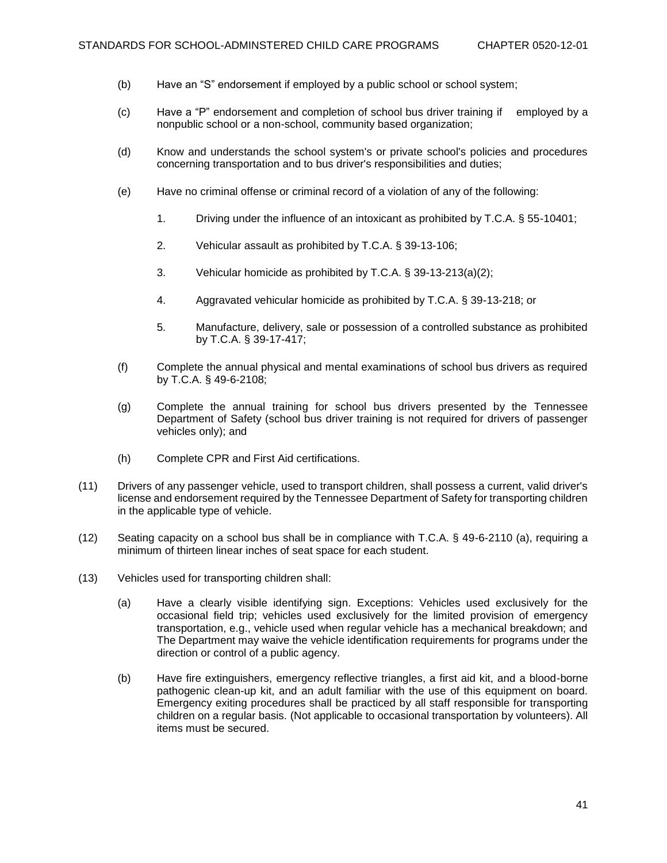- (b) Have an "S" endorsement if employed by a public school or school system;
- (c) Have a "P" endorsement and completion of school bus driver training if employed by a nonpublic school or a non-school, community based organization;
- (d) Know and understands the school system's or private school's policies and procedures concerning transportation and to bus driver's responsibilities and duties;
- (e) Have no criminal offense or criminal record of a violation of any of the following:
	- 1. Driving under the influence of an intoxicant as prohibited by T.C.A. § 55-10401;
	- 2. Vehicular assault as prohibited by T.C.A. § 39-13-106;
	- 3. Vehicular homicide as prohibited by T.C.A. § 39-13-213(a)(2);
	- 4. Aggravated vehicular homicide as prohibited by T.C.A. § 39-13-218; or
	- 5. Manufacture, delivery, sale or possession of a controlled substance as prohibited by T.C.A. § 39-17-417;
- (f) Complete the annual physical and mental examinations of school bus drivers as required by T.C.A. § 49-6-2108;
- (g) Complete the annual training for school bus drivers presented by the Tennessee Department of Safety (school bus driver training is not required for drivers of passenger vehicles only); and
- (h) Complete CPR and First Aid certifications.
- (11) Drivers of any passenger vehicle, used to transport children, shall possess a current, valid driver's license and endorsement required by the Tennessee Department of Safety for transporting children in the applicable type of vehicle.
- (12) Seating capacity on a school bus shall be in compliance with T.C.A. § 49-6-2110 (a), requiring a minimum of thirteen linear inches of seat space for each student.
- (13) Vehicles used for transporting children shall:
	- (a) Have a clearly visible identifying sign. Exceptions: Vehicles used exclusively for the occasional field trip; vehicles used exclusively for the limited provision of emergency transportation, e.g., vehicle used when regular vehicle has a mechanical breakdown; and The Department may waive the vehicle identification requirements for programs under the direction or control of a public agency.
	- (b) Have fire extinguishers, emergency reflective triangles, a first aid kit, and a blood-borne pathogenic clean-up kit, and an adult familiar with the use of this equipment on board. Emergency exiting procedures shall be practiced by all staff responsible for transporting children on a regular basis. (Not applicable to occasional transportation by volunteers). All items must be secured.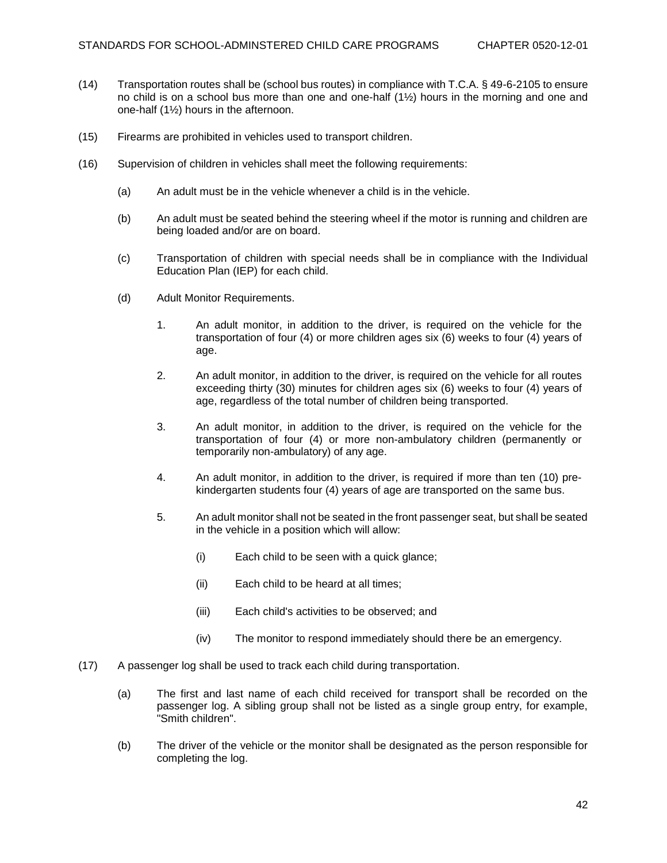- (14) Transportation routes shall be (school bus routes) in compliance with T.C.A. § 49-6-2105 to ensure no child is on a school bus more than one and one-half (1½) hours in the morning and one and one-half (1½) hours in the afternoon.
- (15) Firearms are prohibited in vehicles used to transport children.
- (16) Supervision of children in vehicles shall meet the following requirements:
	- (a) An adult must be in the vehicle whenever a child is in the vehicle.
	- (b) An adult must be seated behind the steering wheel if the motor is running and children are being loaded and/or are on board.
	- (c) Transportation of children with special needs shall be in compliance with the Individual Education Plan (IEP) for each child.
	- (d) Adult Monitor Requirements.
		- 1. An adult monitor, in addition to the driver, is required on the vehicle for the transportation of four (4) or more children ages six (6) weeks to four (4) years of age.
		- 2. An adult monitor, in addition to the driver, is required on the vehicle for all routes exceeding thirty (30) minutes for children ages six (6) weeks to four (4) years of age, regardless of the total number of children being transported.
		- 3. An adult monitor, in addition to the driver, is required on the vehicle for the transportation of four (4) or more non-ambulatory children (permanently or temporarily non-ambulatory) of any age.
		- 4. An adult monitor, in addition to the driver, is required if more than ten (10) prekindergarten students four (4) years of age are transported on the same bus.
		- 5. An adult monitor shall not be seated in the front passenger seat, but shall be seated in the vehicle in a position which will allow:
			- (i) Each child to be seen with a quick glance;
			- (ii) Each child to be heard at all times;
			- (iii) Each child's activities to be observed; and
			- (iv) The monitor to respond immediately should there be an emergency.
- (17) A passenger log shall be used to track each child during transportation.
	- (a) The first and last name of each child received for transport shall be recorded on the passenger log. A sibling group shall not be listed as a single group entry, for example, "Smith children".
	- (b) The driver of the vehicle or the monitor shall be designated as the person responsible for completing the log.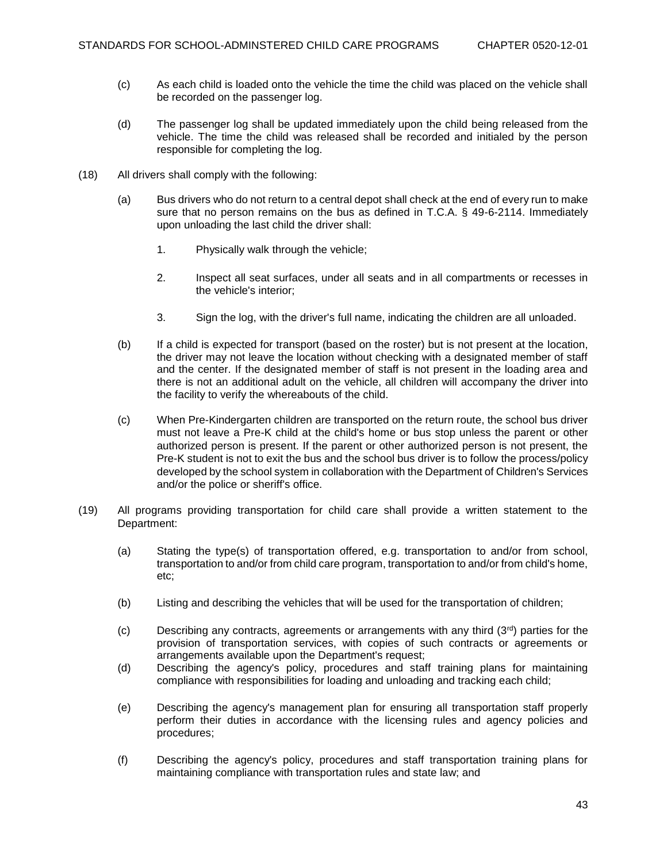- (c) As each child is loaded onto the vehicle the time the child was placed on the vehicle shall be recorded on the passenger log.
- (d) The passenger log shall be updated immediately upon the child being released from the vehicle. The time the child was released shall be recorded and initialed by the person responsible for completing the log.
- (18) All drivers shall comply with the following:
	- (a) Bus drivers who do not return to a central depot shall check at the end of every run to make sure that no person remains on the bus as defined in T.C.A. § 49-6-2114. Immediately upon unloading the last child the driver shall:
		- 1. Physically walk through the vehicle;
		- 2. Inspect all seat surfaces, under all seats and in all compartments or recesses in the vehicle's interior;
		- 3. Sign the log, with the driver's full name, indicating the children are all unloaded.
	- (b) If a child is expected for transport (based on the roster) but is not present at the location, the driver may not leave the location without checking with a designated member of staff and the center. If the designated member of staff is not present in the loading area and there is not an additional adult on the vehicle, all children will accompany the driver into the facility to verify the whereabouts of the child.
	- (c) When Pre-Kindergarten children are transported on the return route, the school bus driver must not leave a Pre-K child at the child's home or bus stop unless the parent or other authorized person is present. If the parent or other authorized person is not present, the Pre-K student is not to exit the bus and the school bus driver is to follow the process/policy developed by the school system in collaboration with the Department of Children's Services and/or the police or sheriff's office.
- (19) All programs providing transportation for child care shall provide a written statement to the Department:
	- (a) Stating the type(s) of transportation offered, e.g. transportation to and/or from school, transportation to and/or from child care program, transportation to and/or from child's home, etc;
	- (b) Listing and describing the vehicles that will be used for the transportation of children;
	- (c) Describing any contracts, agreements or arrangements with any third  $(3^{rd})$  parties for the provision of transportation services, with copies of such contracts or agreements or arrangements available upon the Department's request;
	- (d) Describing the agency's policy, procedures and staff training plans for maintaining compliance with responsibilities for loading and unloading and tracking each child;
	- (e) Describing the agency's management plan for ensuring all transportation staff properly perform their duties in accordance with the licensing rules and agency policies and procedures;
	- (f) Describing the agency's policy, procedures and staff transportation training plans for maintaining compliance with transportation rules and state law; and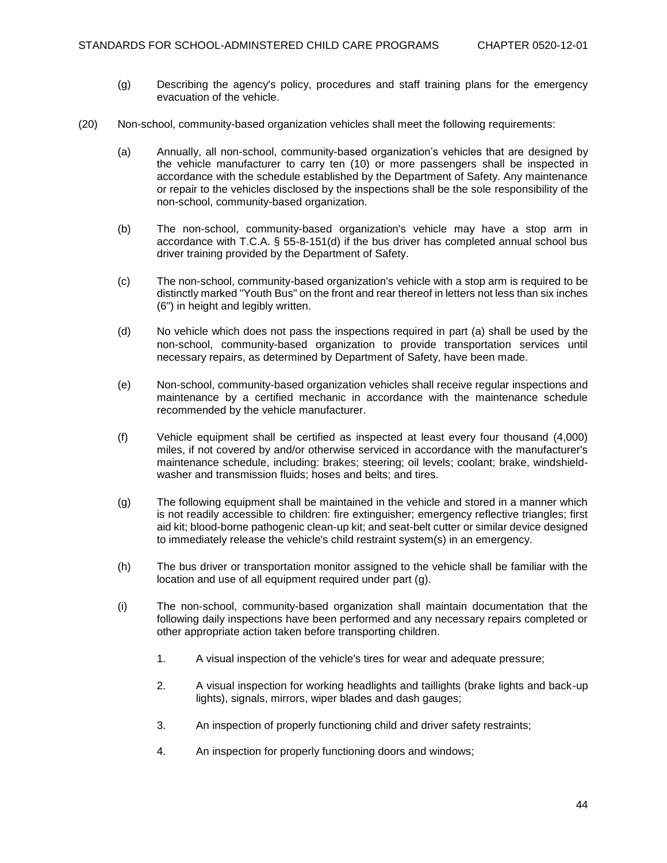- (g) Describing the agency's policy, procedures and staff training plans for the emergency evacuation of the vehicle.
- (20) Non-school, community-based organization vehicles shall meet the following requirements:
	- (a) Annually, all non-school, community-based organization's vehicles that are designed by the vehicle manufacturer to carry ten (10) or more passengers shall be inspected in accordance with the schedule established by the Department of Safety. Any maintenance or repair to the vehicles disclosed by the inspections shall be the sole responsibility of the non-school, community-based organization.
	- (b) The non-school, community-based organization's vehicle may have a stop arm in accordance with T.C.A. § 55-8-151(d) if the bus driver has completed annual school bus driver training provided by the Department of Safety.
	- (c) The non-school, community-based organization's vehicle with a stop arm is required to be distinctly marked "Youth Bus" on the front and rear thereof in letters not less than six inches (6") in height and legibly written.
	- (d) No vehicle which does not pass the inspections required in part (a) shall be used by the non-school, community-based organization to provide transportation services until necessary repairs, as determined by Department of Safety, have been made.
	- (e) Non-school, community-based organization vehicles shall receive regular inspections and maintenance by a certified mechanic in accordance with the maintenance schedule recommended by the vehicle manufacturer.
	- (f) Vehicle equipment shall be certified as inspected at least every four thousand (4,000) miles, if not covered by and/or otherwise serviced in accordance with the manufacturer's maintenance schedule, including: brakes; steering; oil levels; coolant; brake, windshieldwasher and transmission fluids; hoses and belts; and tires.
	- (g) The following equipment shall be maintained in the vehicle and stored in a manner which is not readily accessible to children: fire extinguisher; emergency reflective triangles; first aid kit; blood-borne pathogenic clean-up kit; and seat-belt cutter or similar device designed to immediately release the vehicle's child restraint system(s) in an emergency.
	- (h) The bus driver or transportation monitor assigned to the vehicle shall be familiar with the location and use of all equipment required under part (g).
	- (i) The non-school, community-based organization shall maintain documentation that the following daily inspections have been performed and any necessary repairs completed or other appropriate action taken before transporting children.
		- 1. A visual inspection of the vehicle's tires for wear and adequate pressure;
		- 2. A visual inspection for working headlights and taillights (brake lights and back-up lights), signals, mirrors, wiper blades and dash gauges;
		- 3. An inspection of properly functioning child and driver safety restraints;
		- 4. An inspection for properly functioning doors and windows;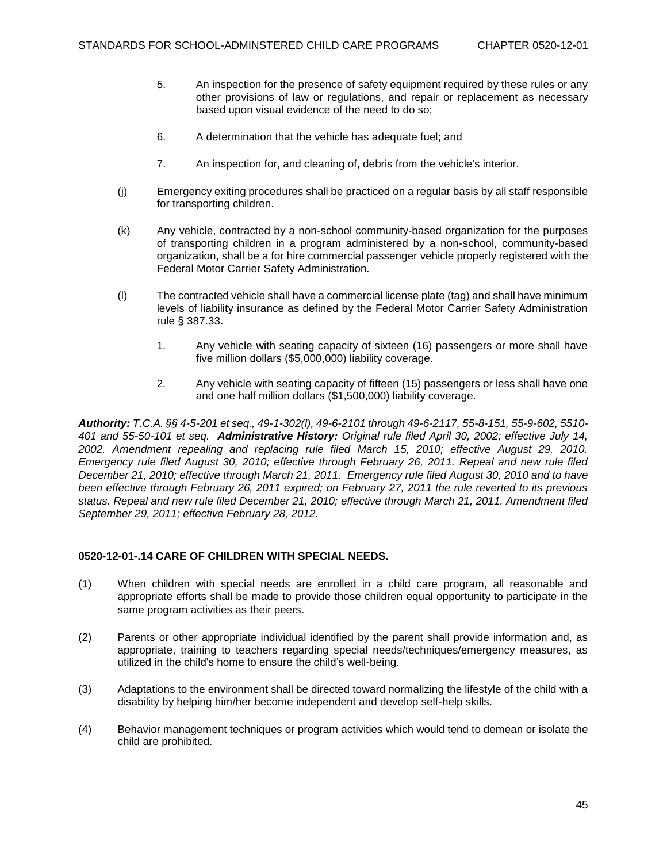- 5. An inspection for the presence of safety equipment required by these rules or any other provisions of law or regulations, and repair or replacement as necessary based upon visual evidence of the need to do so;
- 6. A determination that the vehicle has adequate fuel; and
- 7. An inspection for, and cleaning of, debris from the vehicle's interior.
- (j) Emergency exiting procedures shall be practiced on a regular basis by all staff responsible for transporting children.
- (k) Any vehicle, contracted by a non-school community-based organization for the purposes of transporting children in a program administered by a non-school, community-based organization, shall be a for hire commercial passenger vehicle properly registered with the Federal Motor Carrier Safety Administration.
- (l) The contracted vehicle shall have a commercial license plate (tag) and shall have minimum levels of liability insurance as defined by the Federal Motor Carrier Safety Administration rule § 387.33.
	- 1. Any vehicle with seating capacity of sixteen (16) passengers or more shall have five million dollars (\$5,000,000) liability coverage.
	- 2. Any vehicle with seating capacity of fifteen (15) passengers or less shall have one and one half million dollars (\$1,500,000) liability coverage.

*Authority: T.C.A. §§ 4-5-201 et seq., 49-1-302(l), 49-6-2101 through 49-6-2117, 55-8-151, 55-9-602, 5510- 401 and 55-50-101 et seq. Administrative History: Original rule filed April 30, 2002; effective July 14, 2002. Amendment repealing and replacing rule filed March 15, 2010; effective August 29, 2010. Emergency rule filed August 30, 2010; effective through February 26, 2011. Repeal and new rule filed December 21, 2010; effective through March 21, 2011. Emergency rule filed August 30, 2010 and to have been effective through February 26, 2011 expired; on February 27, 2011 the rule reverted to its previous status. Repeal and new rule filed December 21, 2010; effective through March 21, 2011. Amendment filed September 29, 2011; effective February 28, 2012.*

## **0520-12-01-.14 CARE OF CHILDREN WITH SPECIAL NEEDS.**

- (1) When children with special needs are enrolled in a child care program, all reasonable and appropriate efforts shall be made to provide those children equal opportunity to participate in the same program activities as their peers.
- (2) Parents or other appropriate individual identified by the parent shall provide information and, as appropriate, training to teachers regarding special needs/techniques/emergency measures, as utilized in the child's home to ensure the child's well-being.
- (3) Adaptations to the environment shall be directed toward normalizing the lifestyle of the child with a disability by helping him/her become independent and develop self-help skills.
- (4) Behavior management techniques or program activities which would tend to demean or isolate the child are prohibited.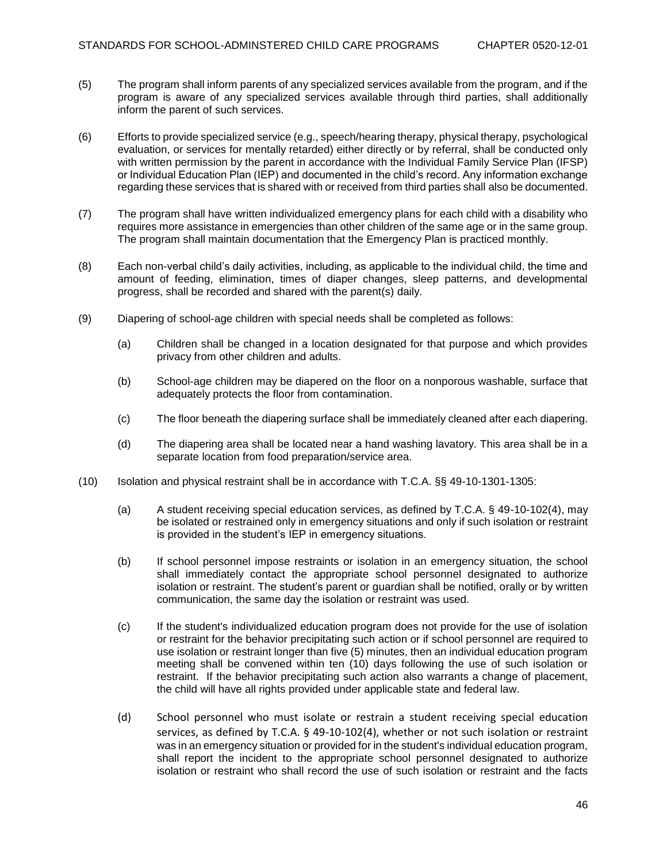- (5) The program shall inform parents of any specialized services available from the program, and if the program is aware of any specialized services available through third parties, shall additionally inform the parent of such services.
- (6) Efforts to provide specialized service (e.g., speech/hearing therapy, physical therapy, psychological evaluation, or services for mentally retarded) either directly or by referral, shall be conducted only with written permission by the parent in accordance with the Individual Family Service Plan (IFSP) or Individual Education Plan (IEP) and documented in the child's record. Any information exchange regarding these services that is shared with or received from third parties shall also be documented.
- (7) The program shall have written individualized emergency plans for each child with a disability who requires more assistance in emergencies than other children of the same age or in the same group. The program shall maintain documentation that the Emergency Plan is practiced monthly.
- (8) Each non-verbal child's daily activities, including, as applicable to the individual child, the time and amount of feeding, elimination, times of diaper changes, sleep patterns, and developmental progress, shall be recorded and shared with the parent(s) daily.
- (9) Diapering of school-age children with special needs shall be completed as follows:
	- (a) Children shall be changed in a location designated for that purpose and which provides privacy from other children and adults.
	- (b) School-age children may be diapered on the floor on a nonporous washable, surface that adequately protects the floor from contamination.
	- (c) The floor beneath the diapering surface shall be immediately cleaned after each diapering.
	- (d) The diapering area shall be located near a hand washing lavatory. This area shall be in a separate location from food preparation/service area.
- (10) Isolation and physical restraint shall be in accordance with T.C.A. §§ 49-10-1301-1305:
	- (a) A student receiving special education services, as defined by T.C.A. § 49-10-102(4), may be isolated or restrained only in emergency situations and only if such isolation or restraint is provided in the student's IEP in emergency situations.
	- (b) If school personnel impose restraints or isolation in an emergency situation, the school shall immediately contact the appropriate school personnel designated to authorize isolation or restraint. The student's parent or guardian shall be notified, orally or by written communication, the same day the isolation or restraint was used.
	- (c) If the student's individualized education program does not provide for the use of isolation or restraint for the behavior precipitating such action or if school personnel are required to use isolation or restraint longer than five (5) minutes, then an individual education program meeting shall be convened within ten (10) days following the use of such isolation or restraint. If the behavior precipitating such action also warrants a change of placement, the child will have all rights provided under applicable state and federal law.
	- (d) School personnel who must isolate or restrain a student receiving special education services, as defined by T.C.A. § 49-10-102(4), whether or not such isolation or restraint was in an emergency situation or provided for in the student's individual education program, shall report the incident to the appropriate school personnel designated to authorize isolation or restraint who shall record the use of such isolation or restraint and the facts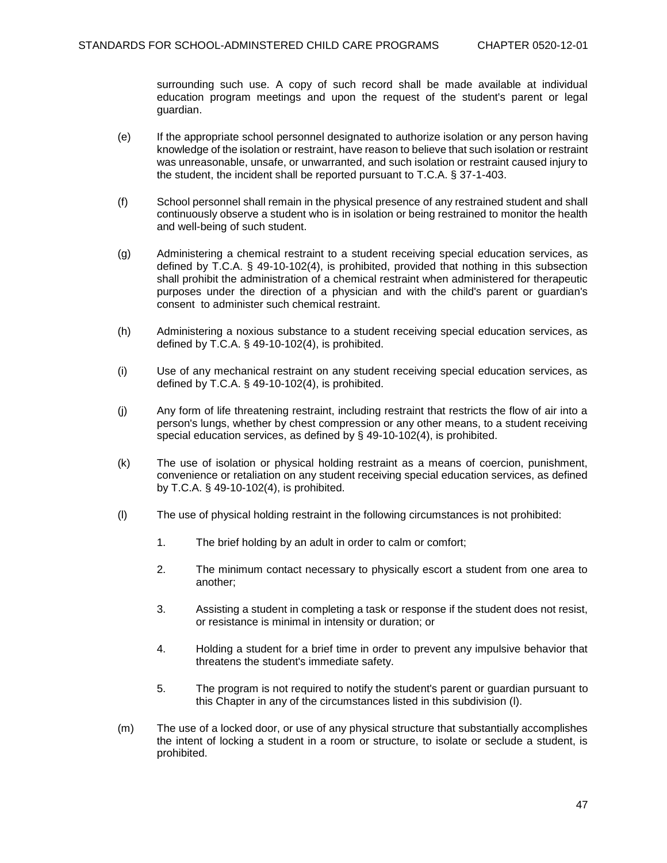surrounding such use. A copy of such record shall be made available at individual education program meetings and upon the request of the student's parent or legal guardian.

- (e) If the appropriate school personnel designated to authorize isolation or any person having knowledge of the isolation or restraint, have reason to believe that such isolation or restraint was unreasonable, unsafe, or unwarranted, and such isolation or restraint caused injury to the student, the incident shall be reported pursuant to T.C.A. § 37-1-403.
- (f) School personnel shall remain in the physical presence of any restrained student and shall continuously observe a student who is in isolation or being restrained to monitor the health and well-being of such student.
- (g) Administering a chemical restraint to a student receiving special education services, as defined by T.C.A. § 49-10-102(4), is prohibited, provided that nothing in this subsection shall prohibit the administration of a chemical restraint when administered for therapeutic purposes under the direction of a physician and with the child's parent or guardian's consent to administer such chemical restraint.
- (h) Administering a noxious substance to a student receiving special education services, as defined by T.C.A. § 49-10-102(4), is prohibited.
- (i) Use of any mechanical restraint on any student receiving special education services, as defined by T.C.A. § 49-10-102(4), is prohibited.
- (j) Any form of life threatening restraint, including restraint that restricts the flow of air into a person's lungs, whether by chest compression or any other means, to a student receiving special education services, as defined by § 49-10-102(4), is prohibited.
- (k) The use of isolation or physical holding restraint as a means of coercion, punishment, convenience or retaliation on any student receiving special education services, as defined by T.C.A. § 49-10-102(4), is prohibited.
- (l) The use of physical holding restraint in the following circumstances is not prohibited:
	- 1. The brief holding by an adult in order to calm or comfort;
	- 2. The minimum contact necessary to physically escort a student from one area to another;
	- 3. Assisting a student in completing a task or response if the student does not resist, or resistance is minimal in intensity or duration; or
	- 4. Holding a student for a brief time in order to prevent any impulsive behavior that threatens the student's immediate safety.
	- 5. The program is not required to notify the student's parent or guardian pursuant to this Chapter in any of the circumstances listed in this subdivision (l).
- (m) The use of a locked door, or use of any physical structure that substantially accomplishes the intent of locking a student in a room or structure, to isolate or seclude a student, is prohibited.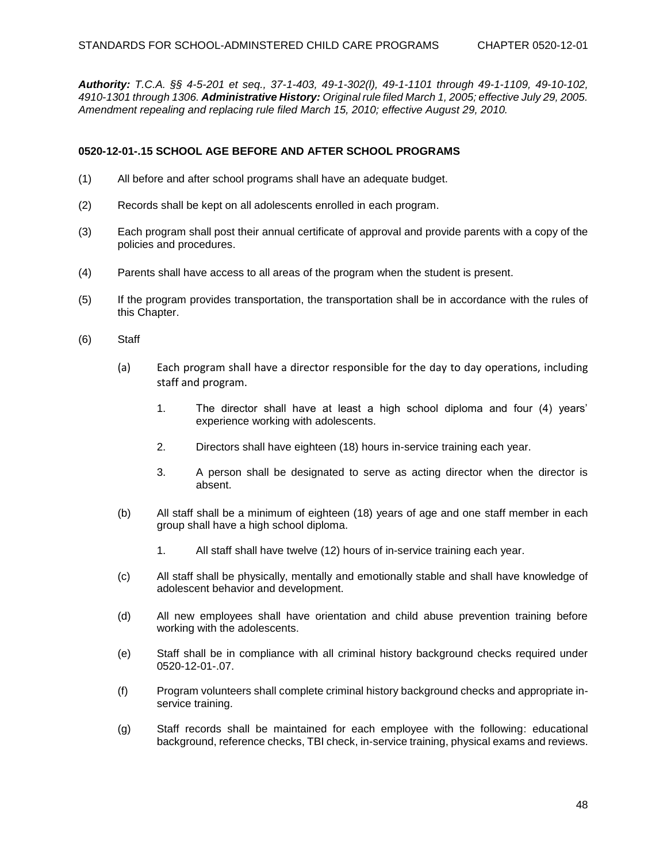*Authority: T.C.A. §§ 4-5-201 et seq., 37-1-403, 49-1-302(l), 49-1-1101 through 49-1-1109, 49-10-102, 4910-1301 through 1306. Administrative History: Original rule filed March 1, 2005; effective July 29, 2005. Amendment repealing and replacing rule filed March 15, 2010; effective August 29, 2010.*

## **0520-12-01-.15 SCHOOL AGE BEFORE AND AFTER SCHOOL PROGRAMS**

- (1) All before and after school programs shall have an adequate budget.
- (2) Records shall be kept on all adolescents enrolled in each program.
- (3) Each program shall post their annual certificate of approval and provide parents with a copy of the policies and procedures.
- (4) Parents shall have access to all areas of the program when the student is present.
- (5) If the program provides transportation, the transportation shall be in accordance with the rules of this Chapter.
- (6) Staff
	- (a) Each program shall have a director responsible for the day to day operations, including staff and program.
		- 1. The director shall have at least a high school diploma and four (4) years' experience working with adolescents.
		- 2. Directors shall have eighteen (18) hours in-service training each year.
		- 3. A person shall be designated to serve as acting director when the director is absent.
	- (b) All staff shall be a minimum of eighteen (18) years of age and one staff member in each group shall have a high school diploma.
		- 1. All staff shall have twelve (12) hours of in-service training each year.
	- (c) All staff shall be physically, mentally and emotionally stable and shall have knowledge of adolescent behavior and development.
	- (d) All new employees shall have orientation and child abuse prevention training before working with the adolescents.
	- (e) Staff shall be in compliance with all criminal history background checks required under 0520-12-01-.07.
	- (f) Program volunteers shall complete criminal history background checks and appropriate inservice training.
	- (g) Staff records shall be maintained for each employee with the following: educational background, reference checks, TBI check, in-service training, physical exams and reviews.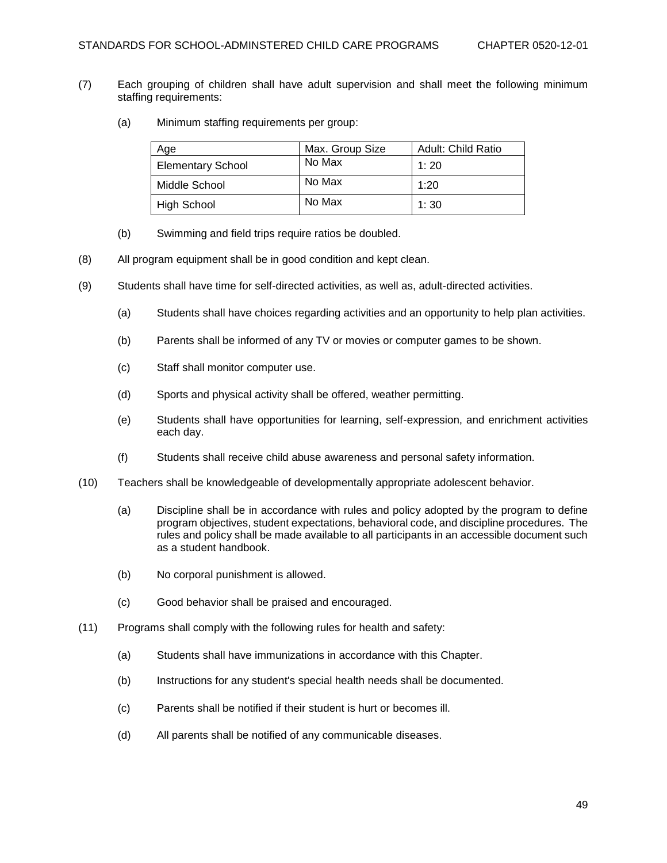- (7) Each grouping of children shall have adult supervision and shall meet the following minimum staffing requirements:
	- (a) Minimum staffing requirements per group:

| Age                      | Max. Group Size | <b>Adult: Child Ratio</b> |
|--------------------------|-----------------|---------------------------|
| <b>Elementary School</b> | No Max          | 1:20                      |
| Middle School            | No Max          | 1:20                      |
| High School              | No Max          | 1:30                      |

- (b) Swimming and field trips require ratios be doubled.
- (8) All program equipment shall be in good condition and kept clean.
- (9) Students shall have time for self-directed activities, as well as, adult-directed activities.
	- (a) Students shall have choices regarding activities and an opportunity to help plan activities.
	- (b) Parents shall be informed of any TV or movies or computer games to be shown.
	- (c) Staff shall monitor computer use.
	- (d) Sports and physical activity shall be offered, weather permitting.
	- (e) Students shall have opportunities for learning, self-expression, and enrichment activities each day.
	- (f) Students shall receive child abuse awareness and personal safety information.
- (10) Teachers shall be knowledgeable of developmentally appropriate adolescent behavior.
	- (a) Discipline shall be in accordance with rules and policy adopted by the program to define program objectives, student expectations, behavioral code, and discipline procedures. The rules and policy shall be made available to all participants in an accessible document such as a student handbook.
	- (b) No corporal punishment is allowed.
	- (c) Good behavior shall be praised and encouraged.
- (11) Programs shall comply with the following rules for health and safety:
	- (a) Students shall have immunizations in accordance with this Chapter.
	- (b) Instructions for any student's special health needs shall be documented.
	- (c) Parents shall be notified if their student is hurt or becomes ill.
	- (d) All parents shall be notified of any communicable diseases.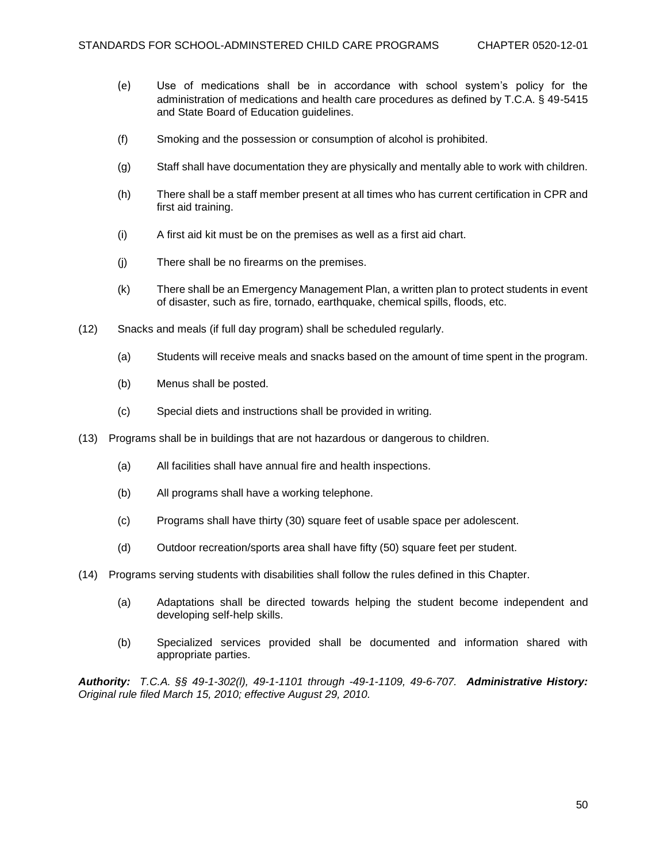- (e) Use of medications shall be in accordance with school system's policy for the administration of medications and health care procedures as defined by T.C.A. § 49-5415 and State Board of Education guidelines.
- (f) Smoking and the possession or consumption of alcohol is prohibited.
- (g) Staff shall have documentation they are physically and mentally able to work with children.
- (h) There shall be a staff member present at all times who has current certification in CPR and first aid training.
- (i) A first aid kit must be on the premises as well as a first aid chart.
- (j) There shall be no firearms on the premises.
- (k) There shall be an Emergency Management Plan, a written plan to protect students in event of disaster, such as fire, tornado, earthquake, chemical spills, floods, etc.
- (12) Snacks and meals (if full day program) shall be scheduled regularly.
	- (a) Students will receive meals and snacks based on the amount of time spent in the program.
	- (b) Menus shall be posted.
	- (c) Special diets and instructions shall be provided in writing.
- (13) Programs shall be in buildings that are not hazardous or dangerous to children.
	- (a) All facilities shall have annual fire and health inspections.
	- (b) All programs shall have a working telephone.
	- (c) Programs shall have thirty (30) square feet of usable space per adolescent.
	- (d) Outdoor recreation/sports area shall have fifty (50) square feet per student.
- (14) Programs serving students with disabilities shall follow the rules defined in this Chapter.
	- (a) Adaptations shall be directed towards helping the student become independent and developing self-help skills.
	- (b) Specialized services provided shall be documented and information shared with appropriate parties.

*Authority: T.C.A. §§ 49-1-302(l), 49-1-1101 through -49-1-1109, 49-6-707. Administrative History: Original rule filed March 15, 2010; effective August 29, 2010.*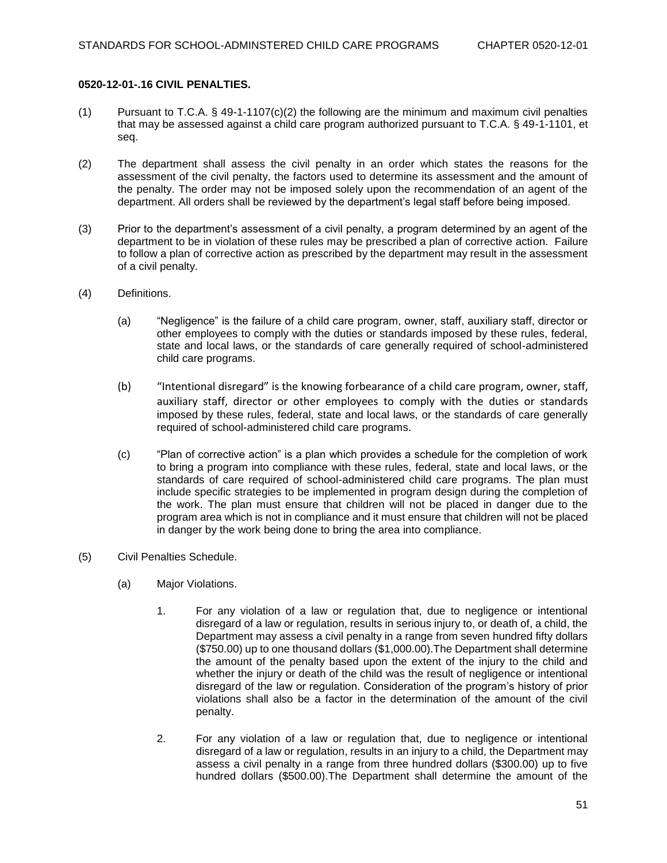#### **0520-12-01-.16 CIVIL PENALTIES.**

- (1) Pursuant to T.C.A.  $\S$  49-1-1107(c)(2) the following are the minimum and maximum civil penalties that may be assessed against a child care program authorized pursuant to T.C.A. § 49-1-1101, et seq.
- (2) The department shall assess the civil penalty in an order which states the reasons for the assessment of the civil penalty, the factors used to determine its assessment and the amount of the penalty. The order may not be imposed solely upon the recommendation of an agent of the department. All orders shall be reviewed by the department's legal staff before being imposed.
- (3) Prior to the department's assessment of a civil penalty, a program determined by an agent of the department to be in violation of these rules may be prescribed a plan of corrective action. Failure to follow a plan of corrective action as prescribed by the department may result in the assessment of a civil penalty.
- (4) Definitions.
	- (a) "Negligence" is the failure of a child care program, owner, staff, auxiliary staff, director or other employees to comply with the duties or standards imposed by these rules, federal, state and local laws, or the standards of care generally required of school-administered child care programs.
	- (b) "Intentional disregard" is the knowing forbearance of a child care program, owner, staff, auxiliary staff, director or other employees to comply with the duties or standards imposed by these rules, federal, state and local laws, or the standards of care generally required of school-administered child care programs.
	- (c) "Plan of corrective action" is a plan which provides a schedule for the completion of work to bring a program into compliance with these rules, federal, state and local laws, or the standards of care required of school-administered child care programs. The plan must include specific strategies to be implemented in program design during the completion of the work. The plan must ensure that children will not be placed in danger due to the program area which is not in compliance and it must ensure that children will not be placed in danger by the work being done to bring the area into compliance.
- (5) Civil Penalties Schedule.
	- (a) Major Violations.
		- 1. For any violation of a law or regulation that, due to negligence or intentional disregard of a law or regulation, results in serious injury to, or death of, a child, the Department may assess a civil penalty in a range from seven hundred fifty dollars (\$750.00) up to one thousand dollars (\$1,000.00).The Department shall determine the amount of the penalty based upon the extent of the injury to the child and whether the injury or death of the child was the result of negligence or intentional disregard of the law or regulation. Consideration of the program's history of prior violations shall also be a factor in the determination of the amount of the civil penalty.
		- 2. For any violation of a law or regulation that, due to negligence or intentional disregard of a law or regulation, results in an injury to a child, the Department may assess a civil penalty in a range from three hundred dollars (\$300.00) up to five hundred dollars (\$500.00).The Department shall determine the amount of the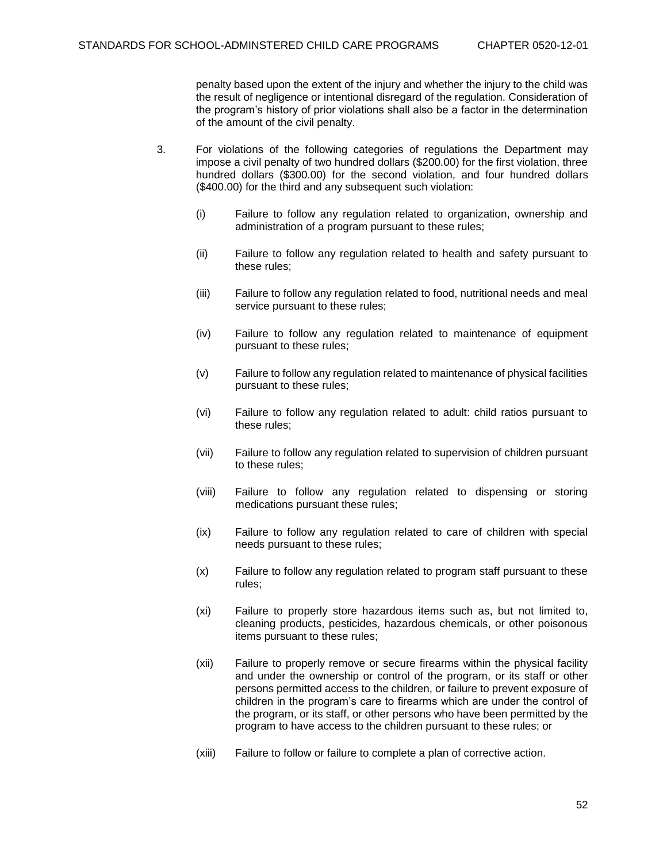penalty based upon the extent of the injury and whether the injury to the child was the result of negligence or intentional disregard of the regulation. Consideration of the program's history of prior violations shall also be a factor in the determination of the amount of the civil penalty.

- 3. For violations of the following categories of regulations the Department may impose a civil penalty of two hundred dollars (\$200.00) for the first violation, three hundred dollars (\$300.00) for the second violation, and four hundred dollars (\$400.00) for the third and any subsequent such violation:
	- (i) Failure to follow any regulation related to organization, ownership and administration of a program pursuant to these rules;
	- (ii) Failure to follow any regulation related to health and safety pursuant to these rules;
	- (iii) Failure to follow any regulation related to food, nutritional needs and meal service pursuant to these rules;
	- (iv) Failure to follow any regulation related to maintenance of equipment pursuant to these rules;
	- (v) Failure to follow any regulation related to maintenance of physical facilities pursuant to these rules;
	- (vi) Failure to follow any regulation related to adult: child ratios pursuant to these rules;
	- (vii) Failure to follow any regulation related to supervision of children pursuant to these rules;
	- (viii) Failure to follow any regulation related to dispensing or storing medications pursuant these rules;
	- (ix) Failure to follow any regulation related to care of children with special needs pursuant to these rules;
	- (x) Failure to follow any regulation related to program staff pursuant to these rules;
	- (xi) Failure to properly store hazardous items such as, but not limited to, cleaning products, pesticides, hazardous chemicals, or other poisonous items pursuant to these rules;
	- (xii) Failure to properly remove or secure firearms within the physical facility and under the ownership or control of the program, or its staff or other persons permitted access to the children, or failure to prevent exposure of children in the program's care to firearms which are under the control of the program, or its staff, or other persons who have been permitted by the program to have access to the children pursuant to these rules; or
	- (xiii) Failure to follow or failure to complete a plan of corrective action.